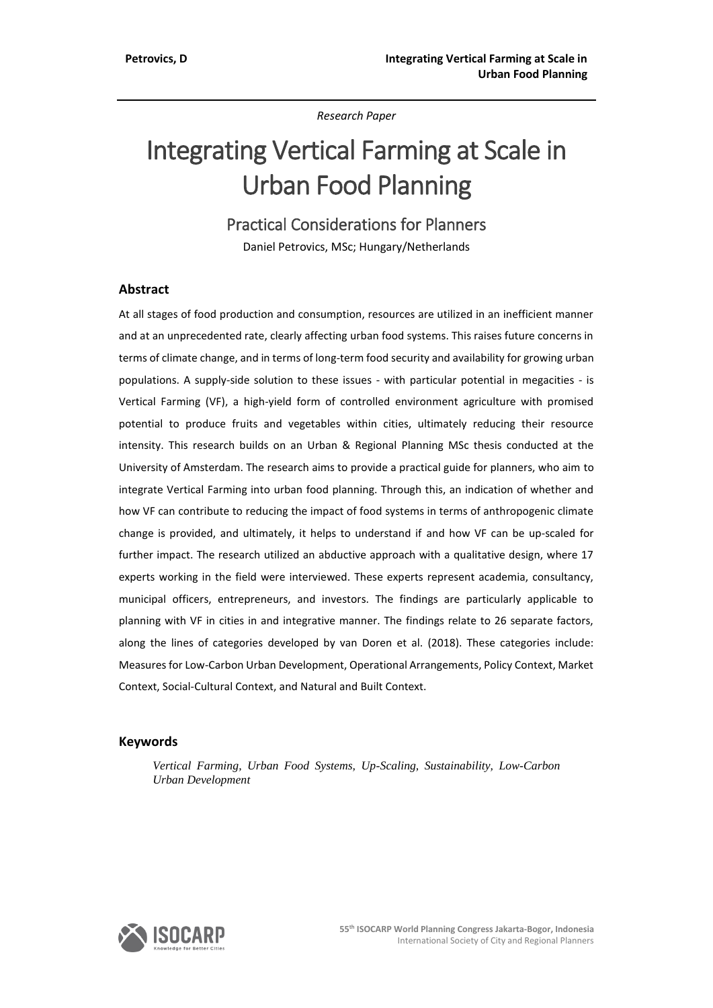*Research Paper*

# Integrating Vertical Farming at Scale in Urban Food Planning

Practical Considerations for Planners

Daniel Petrovics, MSc; Hungary/Netherlands

## **Abstract**

At all stages of food production and consumption, resources are utilized in an inefficient manner and at an unprecedented rate, clearly affecting urban food systems. This raises future concerns in terms of climate change, and in terms of long-term food security and availability for growing urban populations. A supply-side solution to these issues - with particular potential in megacities - is Vertical Farming (VF), a high-yield form of controlled environment agriculture with promised potential to produce fruits and vegetables within cities, ultimately reducing their resource intensity. This research builds on an Urban & Regional Planning MSc thesis conducted at the University of Amsterdam. The research aims to provide a practical guide for planners, who aim to integrate Vertical Farming into urban food planning. Through this, an indication of whether and how VF can contribute to reducing the impact of food systems in terms of anthropogenic climate change is provided, and ultimately, it helps to understand if and how VF can be up-scaled for further impact. The research utilized an abductive approach with a qualitative design, where 17 experts working in the field were interviewed. These experts represent academia, consultancy, municipal officers, entrepreneurs, and investors. The findings are particularly applicable to planning with VF in cities in and integrative manner. The findings relate to 26 separate factors, along the lines of categories developed by van Doren et al. (2018). These categories include: Measures for Low-Carbon Urban Development, Operational Arrangements, Policy Context, Market Context, Social-Cultural Context, and Natural and Built Context.

## **Keywords**

*Vertical Farming, Urban Food Systems, Up-Scaling, Sustainability, Low-Carbon Urban Development*

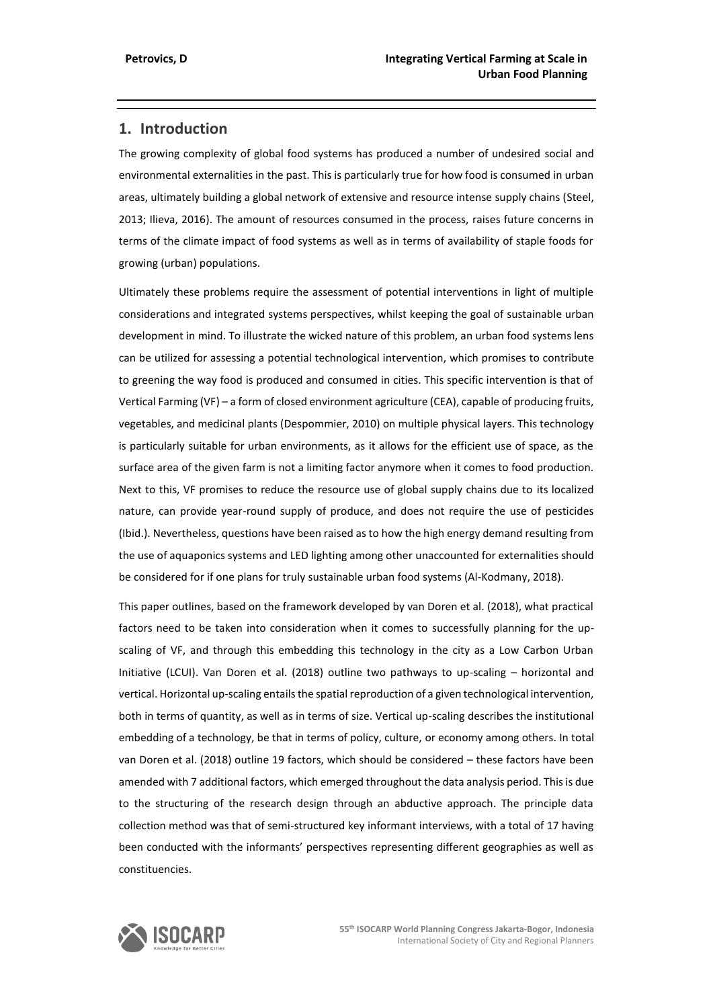# **1. Introduction**

The growing complexity of global food systems has produced a number of undesired social and environmental externalities in the past. This is particularly true for how food is consumed in urban areas, ultimately building a global network of extensive and resource intense supply chains (Steel, 2013; Ilieva, 2016). The amount of resources consumed in the process, raises future concerns in terms of the climate impact of food systems as well as in terms of availability of staple foods for growing (urban) populations.

Ultimately these problems require the assessment of potential interventions in light of multiple considerations and integrated systems perspectives, whilst keeping the goal of sustainable urban development in mind. To illustrate the wicked nature of this problem, an urban food systems lens can be utilized for assessing a potential technological intervention, which promises to contribute to greening the way food is produced and consumed in cities. This specific intervention is that of Vertical Farming (VF) – a form of closed environment agriculture (CEA), capable of producing fruits, vegetables, and medicinal plants (Despommier, 2010) on multiple physical layers. This technology is particularly suitable for urban environments, as it allows for the efficient use of space, as the surface area of the given farm is not a limiting factor anymore when it comes to food production. Next to this, VF promises to reduce the resource use of global supply chains due to its localized nature, can provide year-round supply of produce, and does not require the use of pesticides (Ibid.). Nevertheless, questions have been raised as to how the high energy demand resulting from the use of aquaponics systems and LED lighting among other unaccounted for externalities should be considered for if one plans for truly sustainable urban food systems (Al-Kodmany, 2018).

This paper outlines, based on the framework developed by van Doren et al. (2018), what practical factors need to be taken into consideration when it comes to successfully planning for the upscaling of VF, and through this embedding this technology in the city as a Low Carbon Urban Initiative (LCUI). Van Doren et al. (2018) outline two pathways to up-scaling – horizontal and vertical. Horizontal up-scaling entails the spatial reproduction of a given technological intervention, both in terms of quantity, as well as in terms of size. Vertical up-scaling describes the institutional embedding of a technology, be that in terms of policy, culture, or economy among others. In total van Doren et al. (2018) outline 19 factors, which should be considered – these factors have been amended with 7 additional factors, which emerged throughout the data analysis period. This is due to the structuring of the research design through an abductive approach. The principle data collection method was that of semi-structured key informant interviews, with a total of 17 having been conducted with the informants' perspectives representing different geographies as well as constituencies.

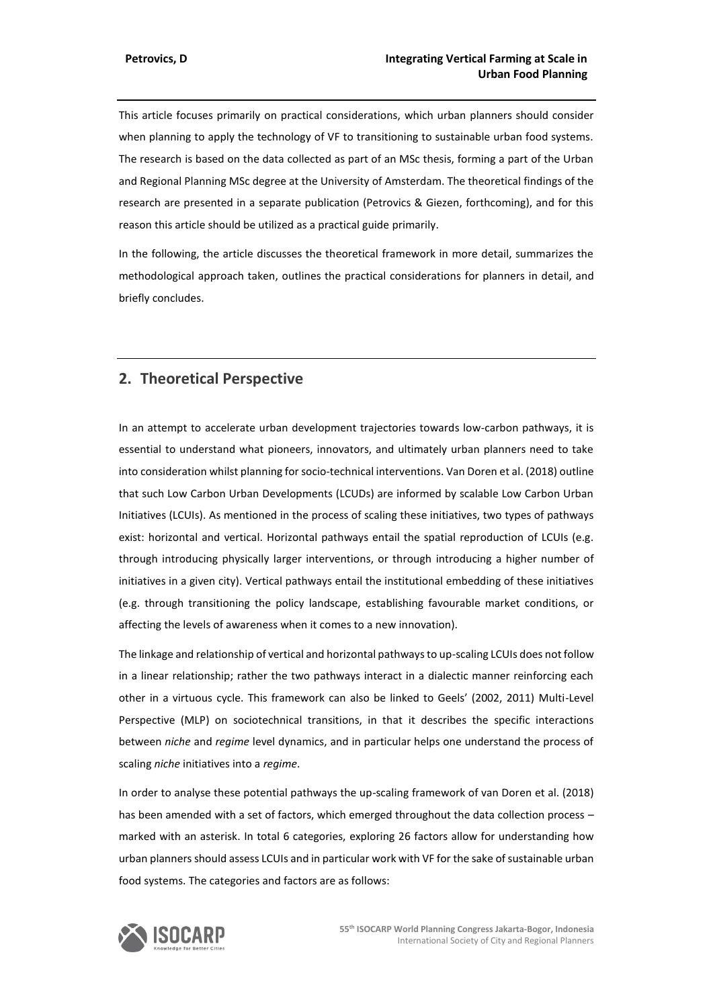This article focuses primarily on practical considerations, which urban planners should consider when planning to apply the technology of VF to transitioning to sustainable urban food systems. The research is based on the data collected as part of an MSc thesis, forming a part of the Urban and Regional Planning MSc degree at the University of Amsterdam. The theoretical findings of the research are presented in a separate publication (Petrovics & Giezen, forthcoming), and for this reason this article should be utilized as a practical guide primarily.

In the following, the article discusses the theoretical framework in more detail, summarizes the methodological approach taken, outlines the practical considerations for planners in detail, and briefly concludes.

# **2. Theoretical Perspective**

In an attempt to accelerate urban development trajectories towards low-carbon pathways, it is essential to understand what pioneers, innovators, and ultimately urban planners need to take into consideration whilst planning for socio-technical interventions. Van Doren et al. (2018) outline that such Low Carbon Urban Developments (LCUDs) are informed by scalable Low Carbon Urban Initiatives (LCUIs). As mentioned in the process of scaling these initiatives, two types of pathways exist: horizontal and vertical. Horizontal pathways entail the spatial reproduction of LCUIs (e.g. through introducing physically larger interventions, or through introducing a higher number of initiatives in a given city). Vertical pathways entail the institutional embedding of these initiatives (e.g. through transitioning the policy landscape, establishing favourable market conditions, or affecting the levels of awareness when it comes to a new innovation).

The linkage and relationship of vertical and horizontal pathways to up-scaling LCUIs does not follow in a linear relationship; rather the two pathways interact in a dialectic manner reinforcing each other in a virtuous cycle. This framework can also be linked to Geels' (2002, 2011) Multi-Level Perspective (MLP) on sociotechnical transitions, in that it describes the specific interactions between *niche* and *regime* level dynamics, and in particular helps one understand the process of scaling *niche* initiatives into a *regime*.

In order to analyse these potential pathways the up-scaling framework of van Doren et al. (2018) has been amended with a set of factors, which emerged throughout the data collection process marked with an asterisk. In total 6 categories, exploring 26 factors allow for understanding how urban planners should assess LCUIs and in particular work with VF for the sake of sustainable urban food systems. The categories and factors are as follows:

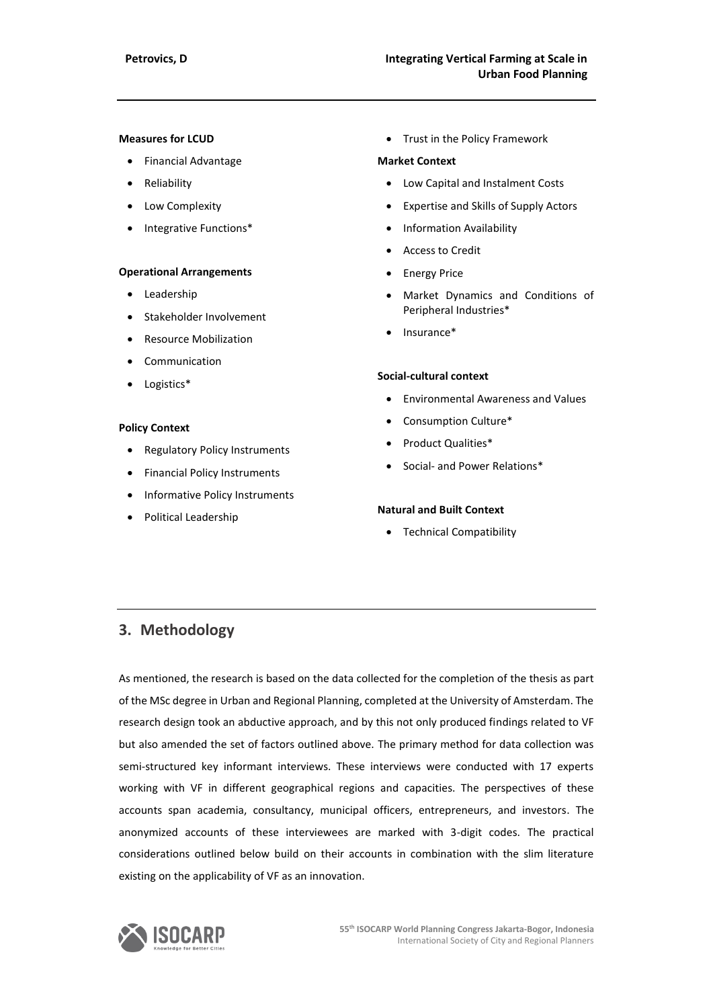### **Measures for LCUD**

- Financial Advantage
- Reliability
- Low Complexity
- Integrative Functions\*

#### **Operational Arrangements**

- Leadership
- Stakeholder Involvement
- Resource Mobilization
- Communication
- Logistics\*

#### **Policy Context**

- Regulatory Policy Instruments
- Financial Policy Instruments
- Informative Policy Instruments
- Political Leadership

• Trust in the Policy Framework

#### **Market Context**

- Low Capital and Instalment Costs
- Expertise and Skills of Supply Actors
- Information Availability
- Access to Credit
- **Energy Price**
- Market Dynamics and Conditions of Peripheral Industries\*
- Insurance\*

#### **Social-cultural context**

- Environmental Awareness and Values
- Consumption Culture\*
- Product Qualities\*
- Social- and Power Relations\*

#### **Natural and Built Context**

• Technical Compatibility

# **3. Methodology**

As mentioned, the research is based on the data collected for the completion of the thesis as part of the MSc degree in Urban and Regional Planning, completed at the University of Amsterdam. The research design took an abductive approach, and by this not only produced findings related to VF but also amended the set of factors outlined above. The primary method for data collection was semi-structured key informant interviews. These interviews were conducted with 17 experts working with VF in different geographical regions and capacities. The perspectives of these accounts span academia, consultancy, municipal officers, entrepreneurs, and investors. The anonymized accounts of these interviewees are marked with 3-digit codes. The practical considerations outlined below build on their accounts in combination with the slim literature existing on the applicability of VF as an innovation.

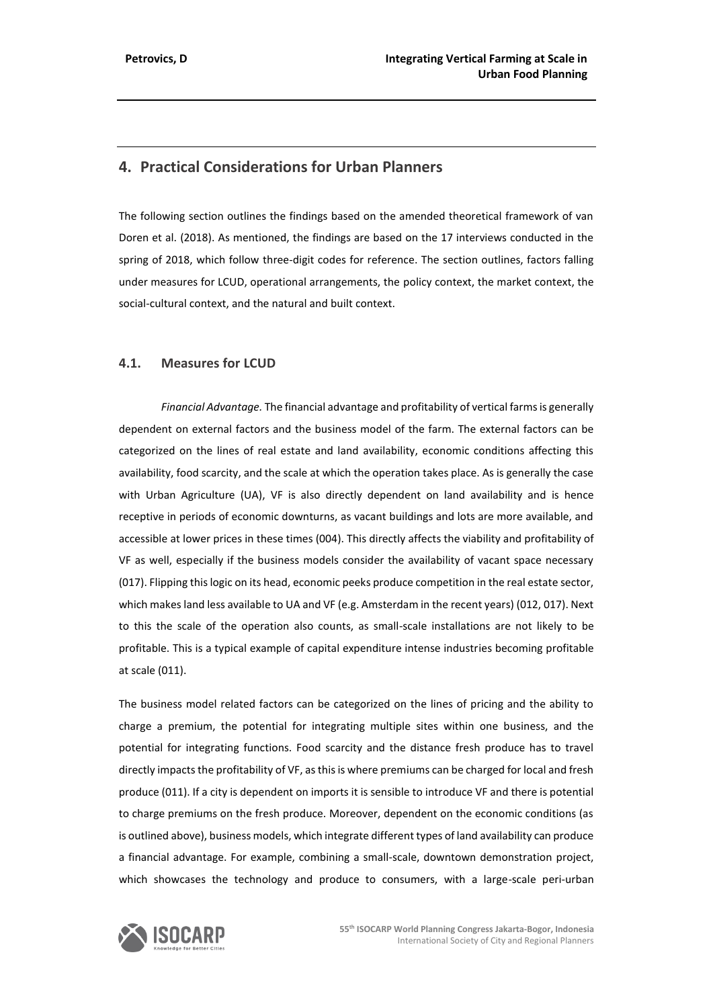# **4. Practical Considerations for Urban Planners**

The following section outlines the findings based on the amended theoretical framework of van Doren et al. (2018). As mentioned, the findings are based on the 17 interviews conducted in the spring of 2018, which follow three-digit codes for reference. The section outlines, factors falling under measures for LCUD, operational arrangements, the policy context, the market context, the social-cultural context, and the natural and built context.

## **4.1. Measures for LCUD**

*Financial Advantage.* The financial advantage and profitability of vertical farms is generally dependent on external factors and the business model of the farm. The external factors can be categorized on the lines of real estate and land availability, economic conditions affecting this availability, food scarcity, and the scale at which the operation takes place. As is generally the case with Urban Agriculture (UA), VF is also directly dependent on land availability and is hence receptive in periods of economic downturns, as vacant buildings and lots are more available, and accessible at lower prices in these times (004). This directly affects the viability and profitability of VF as well, especially if the business models consider the availability of vacant space necessary (017). Flipping this logic on its head, economic peeks produce competition in the real estate sector, which makes land less available to UA and VF (e.g. Amsterdam in the recent years) (012, 017). Next to this the scale of the operation also counts, as small-scale installations are not likely to be profitable. This is a typical example of capital expenditure intense industries becoming profitable at scale (011).

The business model related factors can be categorized on the lines of pricing and the ability to charge a premium, the potential for integrating multiple sites within one business, and the potential for integrating functions. Food scarcity and the distance fresh produce has to travel directly impacts the profitability of VF, as this is where premiums can be charged for local and fresh produce (011). If a city is dependent on imports it is sensible to introduce VF and there is potential to charge premiums on the fresh produce. Moreover, dependent on the economic conditions (as is outlined above), business models, which integrate different types of land availability can produce a financial advantage. For example, combining a small-scale, downtown demonstration project, which showcases the technology and produce to consumers, with a large-scale peri-urban

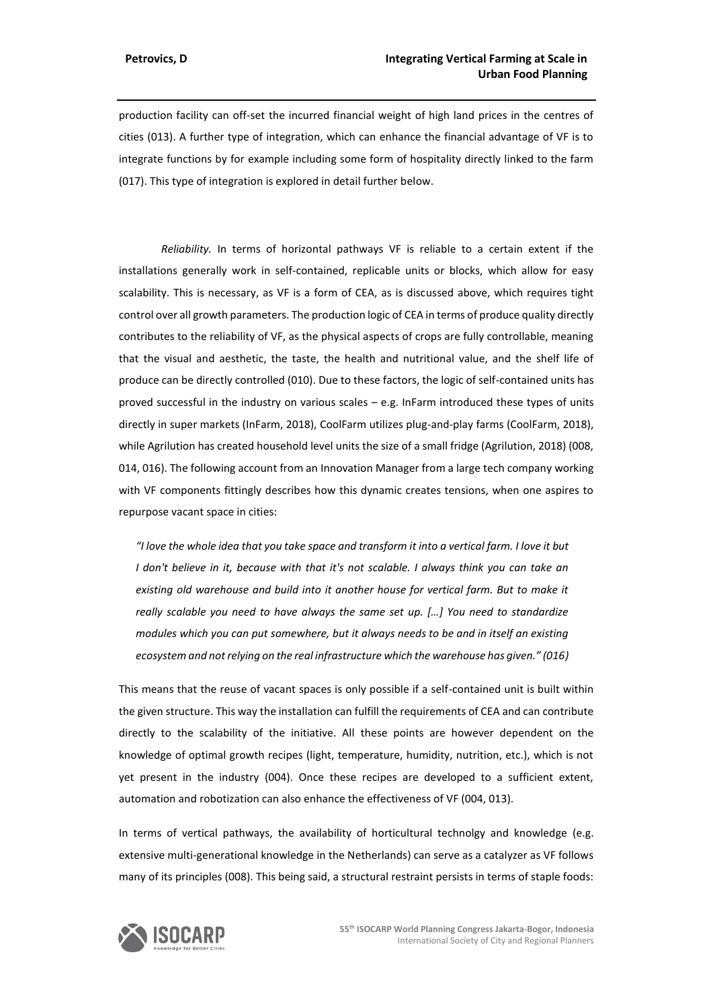production facility can off-set the incurred financial weight of high land prices in the centres of cities (013). A further type of integration, which can enhance the financial advantage of VF is to integrate functions by for example including some form of hospitality directly linked to the farm (017). This type of integration is explored in detail further below.

*Reliability.* In terms of horizontal pathways VF is reliable to a certain extent if the installations generally work in self-contained, replicable units or blocks, which allow for easy scalability. This is necessary, as VF is a form of CEA, as is discussed above, which requires tight control over all growth parameters. The production logic of CEA in terms of produce quality directly contributes to the reliability of VF, as the physical aspects of crops are fully controllable, meaning that the visual and aesthetic, the taste, the health and nutritional value, and the shelf life of produce can be directly controlled (010). Due to these factors, the logic of self-contained units has proved successful in the industry on various scales – e.g. InFarm introduced these types of units directly in super markets (InFarm, 2018), CoolFarm utilizes plug-and-play farms (CoolFarm, 2018), while Agrilution has created household level units the size of a small fridge (Agrilution, 2018) (008, 014, 016). The following account from an Innovation Manager from a large tech company working with VF components fittingly describes how this dynamic creates tensions, when one aspires to repurpose vacant space in cities:

*"I love the whole idea that you take space and transform it into a vertical farm. I love it but I don't believe in it, because with that it's not scalable. I always think you can take an existing old warehouse and build into it another house for vertical farm. But to make it really scalable you need to have always the same set up. […] You need to standardize modules which you can put somewhere, but it always needs to be and in itself an existing ecosystem and not relying on the real infrastructure which the warehouse has given." (016)*

This means that the reuse of vacant spaces is only possible if a self-contained unit is built within the given structure. This way the installation can fulfill the requirements of CEA and can contribute directly to the scalability of the initiative. All these points are however dependent on the knowledge of optimal growth recipes (light, temperature, humidity, nutrition, etc.), which is not yet present in the industry (004). Once these recipes are developed to a sufficient extent, automation and robotization can also enhance the effectiveness of VF (004, 013).

In terms of vertical pathways, the availability of horticultural technolgy and knowledge (e.g. extensive multi-generational knowledge in the Netherlands) can serve as a catalyzer as VF follows many of its principles (008). This being said, a structural restraint persists in terms of staple foods:

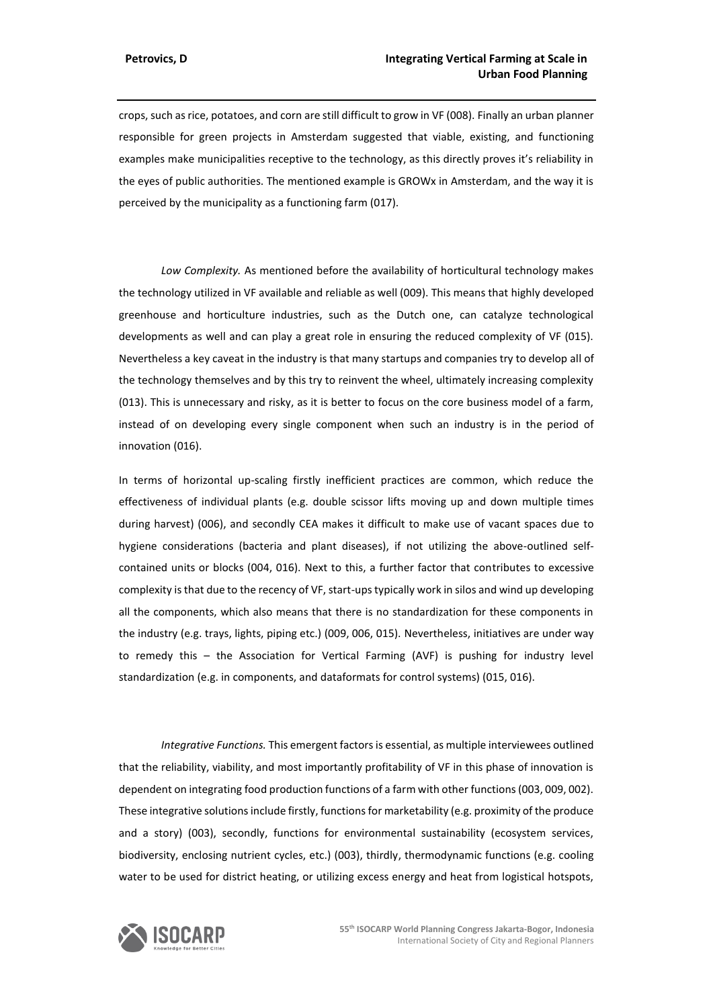crops, such as rice, potatoes, and corn are still difficult to grow in VF (008). Finally an urban planner responsible for green projects in Amsterdam suggested that viable, existing, and functioning examples make municipalities receptive to the technology, as this directly proves it's reliability in the eyes of public authorities. The mentioned example is GROWx in Amsterdam, and the way it is perceived by the municipality as a functioning farm (017).

*Low Complexity.* As mentioned before the availability of horticultural technology makes the technology utilized in VF available and reliable as well (009). This means that highly developed greenhouse and horticulture industries, such as the Dutch one, can catalyze technological developments as well and can play a great role in ensuring the reduced complexity of VF (015). Nevertheless a key caveat in the industry is that many startups and companies try to develop all of the technology themselves and by this try to reinvent the wheel, ultimately increasing complexity (013). This is unnecessary and risky, as it is better to focus on the core business model of a farm, instead of on developing every single component when such an industry is in the period of innovation (016).

In terms of horizontal up-scaling firstly inefficient practices are common, which reduce the effectiveness of individual plants (e.g. double scissor lifts moving up and down multiple times during harvest) (006), and secondly CEA makes it difficult to make use of vacant spaces due to hygiene considerations (bacteria and plant diseases), if not utilizing the above-outlined selfcontained units or blocks (004, 016). Next to this, a further factor that contributes to excessive complexity is that due to the recency of VF, start-ups typically work in silos and wind up developing all the components, which also means that there is no standardization for these components in the industry (e.g. trays, lights, piping etc.) (009, 006, 015). Nevertheless, initiatives are under way to remedy this – the Association for Vertical Farming (AVF) is pushing for industry level standardization (e.g. in components, and dataformats for control systems) (015, 016).

*Integrative Functions.* This emergent factorsis essential, as multiple interviewees outlined that the reliability, viability, and most importantly profitability of VF in this phase of innovation is dependent on integrating food production functions of a farm with other functions (003, 009, 002). These integrative solutions include firstly, functions for marketability (e.g. proximity of the produce and a story) (003), secondly, functions for environmental sustainability (ecosystem services, biodiversity, enclosing nutrient cycles, etc.) (003), thirdly, thermodynamic functions (e.g. cooling water to be used for district heating, or utilizing excess energy and heat from logistical hotspots,

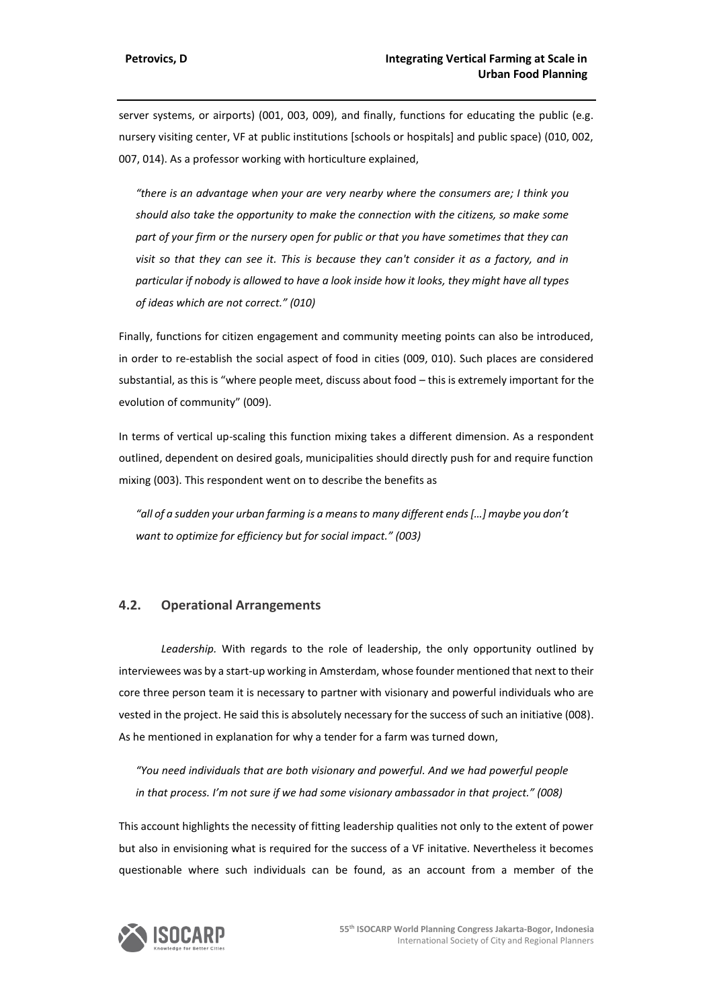server systems, or airports) (001, 003, 009), and finally, functions for educating the public (e.g. nursery visiting center, VF at public institutions [schools or hospitals] and public space) (010, 002, 007, 014). As a professor working with horticulture explained,

*"there is an advantage when your are very nearby where the consumers are; I think you should also take the opportunity to make the connection with the citizens, so make some part of your firm or the nursery open for public or that you have sometimes that they can visit so that they can see it. This is because they can't consider it as a factory, and in particular if nobody is allowed to have a look inside how it looks, they might have all types of ideas which are not correct." (010)*

Finally, functions for citizen engagement and community meeting points can also be introduced, in order to re-establish the social aspect of food in cities (009, 010). Such places are considered substantial, as this is "where people meet, discuss about food – this is extremely important for the evolution of community" (009).

In terms of vertical up-scaling this function mixing takes a different dimension. As a respondent outlined, dependent on desired goals, municipalities should directly push for and require function mixing (003). This respondent went on to describe the benefits as

*"all of a sudden your urban farming is a means to many different ends […] maybe you don't want to optimize for efficiency but for social impact." (003)*

## **4.2. Operational Arrangements**

*Leadership.* With regards to the role of leadership, the only opportunity outlined by interviewees was by a start-up working in Amsterdam, whose founder mentioned that next to their core three person team it is necessary to partner with visionary and powerful individuals who are vested in the project. He said this is absolutely necessary for the success of such an initiative (008). As he mentioned in explanation for why a tender for a farm was turned down,

*"You need individuals that are both visionary and powerful. And we had powerful people in that process. I'm not sure if we had some visionary ambassador in that project." (008)*

This account highlights the necessity of fitting leadership qualities not only to the extent of power but also in envisioning what is required for the success of a VF initative. Nevertheless it becomes questionable where such individuals can be found, as an account from a member of the

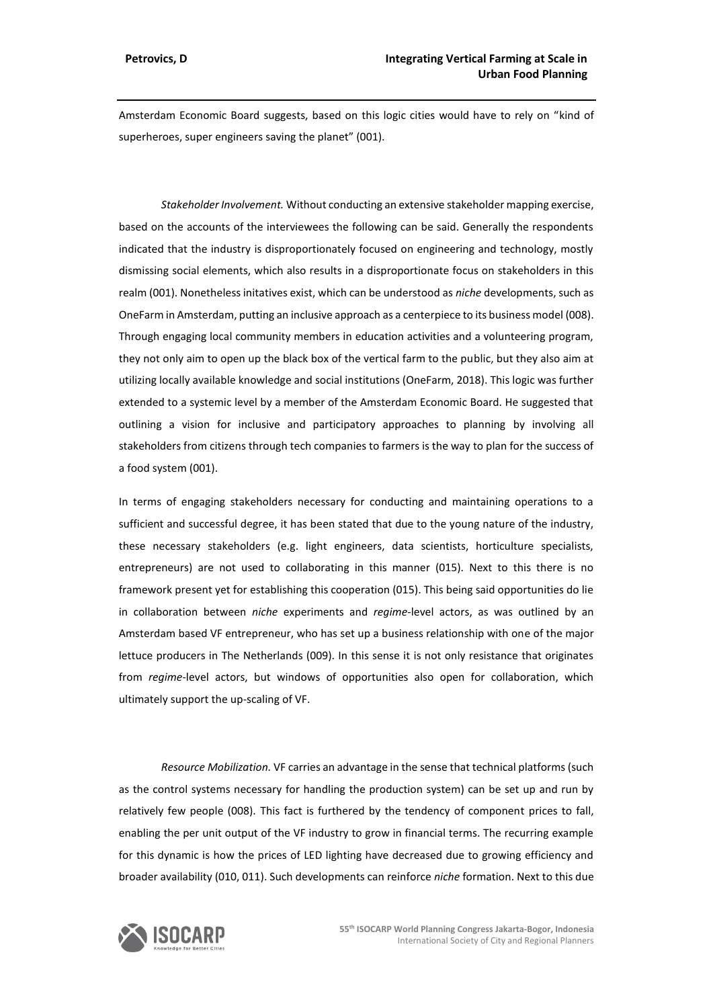Amsterdam Economic Board suggests, based on this logic cities would have to rely on "kind of superheroes, super engineers saving the planet" (001).

*Stakeholder Involvement.* Without conducting an extensive stakeholder mapping exercise, based on the accounts of the interviewees the following can be said. Generally the respondents indicated that the industry is disproportionately focused on engineering and technology, mostly dismissing social elements, which also results in a disproportionate focus on stakeholders in this realm (001). Nonetheless initatives exist, which can be understood as *niche* developments, such as OneFarm in Amsterdam, putting an inclusive approach as a centerpiece to its business model (008). Through engaging local community members in education activities and a volunteering program, they not only aim to open up the black box of the vertical farm to the public, but they also aim at utilizing locally available knowledge and social institutions (OneFarm, 2018). This logic was further extended to a systemic level by a member of the Amsterdam Economic Board. He suggested that outlining a vision for inclusive and participatory approaches to planning by involving all stakeholders from citizens through tech companies to farmers is the way to plan for the success of a food system (001).

In terms of engaging stakeholders necessary for conducting and maintaining operations to a sufficient and successful degree, it has been stated that due to the young nature of the industry, these necessary stakeholders (e.g. light engineers, data scientists, horticulture specialists, entrepreneurs) are not used to collaborating in this manner (015). Next to this there is no framework present yet for establishing this cooperation (015). This being said opportunities do lie in collaboration between *niche* experiments and *regime*-level actors, as was outlined by an Amsterdam based VF entrepreneur, who has set up a business relationship with one of the major lettuce producers in The Netherlands (009). In this sense it is not only resistance that originates from *regime*-level actors, but windows of opportunities also open for collaboration, which ultimately support the up-scaling of VF.

*Resource Mobilization.* VF carries an advantage in the sense that technical platforms (such as the control systems necessary for handling the production system) can be set up and run by relatively few people (008). This fact is furthered by the tendency of component prices to fall, enabling the per unit output of the VF industry to grow in financial terms. The recurring example for this dynamic is how the prices of LED lighting have decreased due to growing efficiency and broader availability (010, 011). Such developments can reinforce *niche* formation. Next to this due

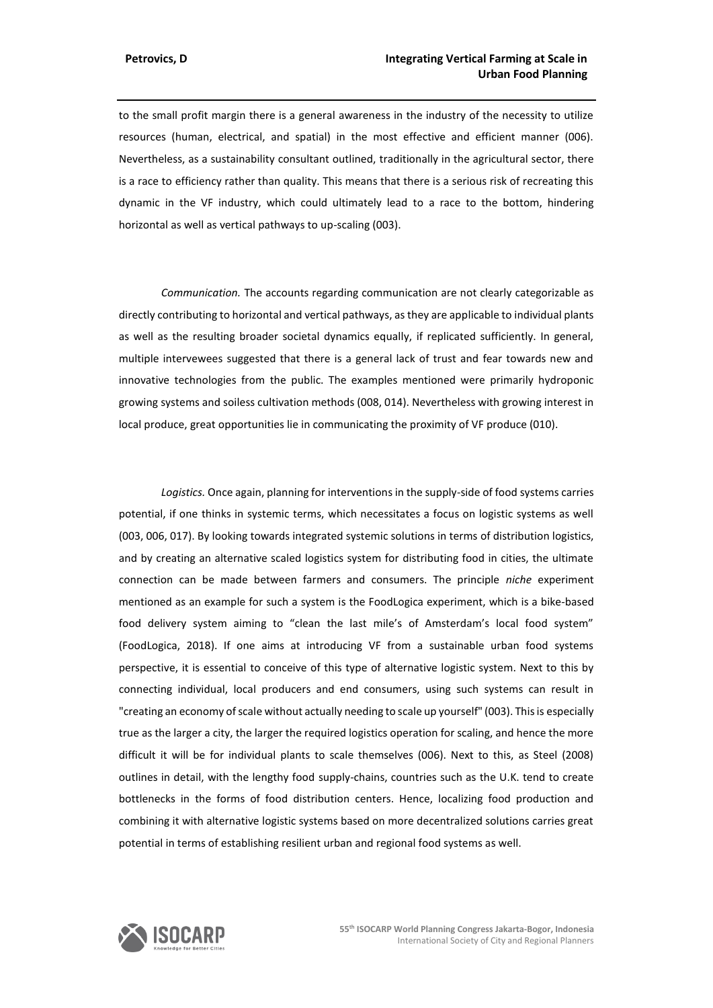to the small profit margin there is a general awareness in the industry of the necessity to utilize resources (human, electrical, and spatial) in the most effective and efficient manner (006). Nevertheless, as a sustainability consultant outlined, traditionally in the agricultural sector, there is a race to efficiency rather than quality. This means that there is a serious risk of recreating this dynamic in the VF industry, which could ultimately lead to a race to the bottom, hindering horizontal as well as vertical pathways to up-scaling (003).

*Communication.* The accounts regarding communication are not clearly categorizable as directly contributing to horizontal and vertical pathways, as they are applicable to individual plants as well as the resulting broader societal dynamics equally, if replicated sufficiently. In general, multiple intervewees suggested that there is a general lack of trust and fear towards new and innovative technologies from the public. The examples mentioned were primarily hydroponic growing systems and soiless cultivation methods (008, 014). Nevertheless with growing interest in local produce, great opportunities lie in communicating the proximity of VF produce (010).

*Logistics.* Once again, planning for interventions in the supply-side of food systems carries potential, if one thinks in systemic terms, which necessitates a focus on logistic systems as well (003, 006, 017). By looking towards integrated systemic solutions in terms of distribution logistics, and by creating an alternative scaled logistics system for distributing food in cities, the ultimate connection can be made between farmers and consumers. The principle *niche* experiment mentioned as an example for such a system is the FoodLogica experiment, which is a bike-based food delivery system aiming to "clean the last mile's of Amsterdam's local food system" (FoodLogica, 2018). If one aims at introducing VF from a sustainable urban food systems perspective, it is essential to conceive of this type of alternative logistic system. Next to this by connecting individual, local producers and end consumers, using such systems can result in "creating an economy of scale without actually needing to scale up yourself" (003). This is especially true as the larger a city, the larger the required logistics operation for scaling, and hence the more difficult it will be for individual plants to scale themselves (006). Next to this, as Steel (2008) outlines in detail, with the lengthy food supply-chains, countries such as the U.K. tend to create bottlenecks in the forms of food distribution centers. Hence, localizing food production and combining it with alternative logistic systems based on more decentralized solutions carries great potential in terms of establishing resilient urban and regional food systems as well.

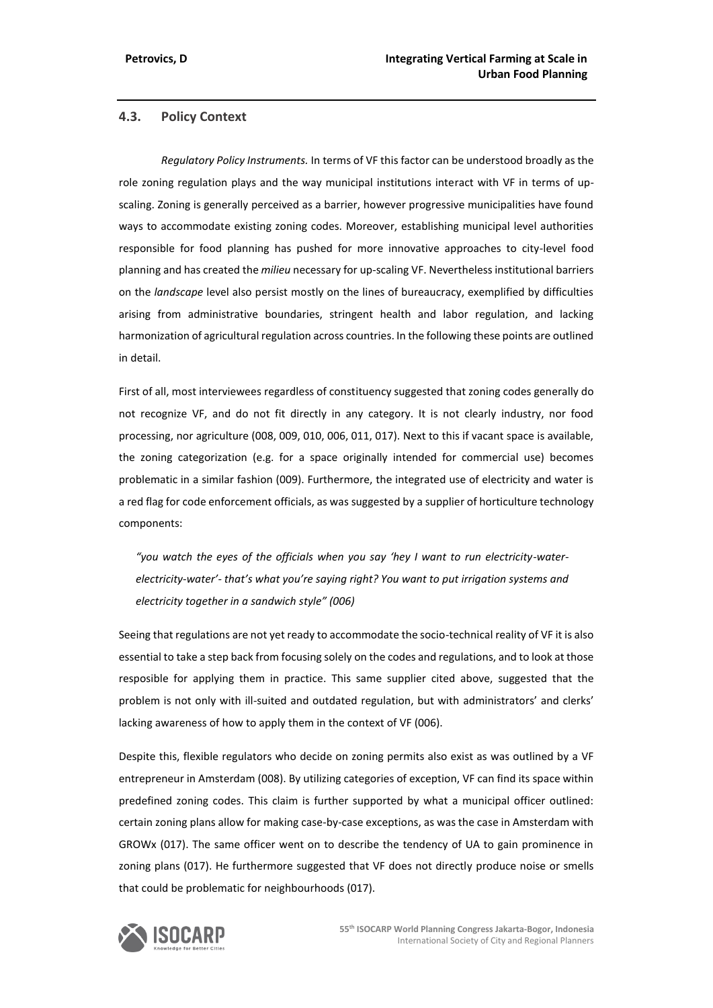## **4.3. Policy Context**

*Regulatory Policy Instruments.* In terms of VF this factor can be understood broadly as the role zoning regulation plays and the way municipal institutions interact with VF in terms of upscaling. Zoning is generally perceived as a barrier, however progressive municipalities have found ways to accommodate existing zoning codes. Moreover, establishing municipal level authorities responsible for food planning has pushed for more innovative approaches to city-level food planning and has created the *milieu* necessary for up-scaling VF. Nevertheless institutional barriers on the *landscape* level also persist mostly on the lines of bureaucracy, exemplified by difficulties arising from administrative boundaries, stringent health and labor regulation, and lacking harmonization of agricultural regulation across countries. In the following these points are outlined in detail.

First of all, most interviewees regardless of constituency suggested that zoning codes generally do not recognize VF, and do not fit directly in any category. It is not clearly industry, nor food processing, nor agriculture (008, 009, 010, 006, 011, 017). Next to this if vacant space is available, the zoning categorization (e.g. for a space originally intended for commercial use) becomes problematic in a similar fashion (009). Furthermore, the integrated use of electricity and water is a red flag for code enforcement officials, as was suggested by a supplier of horticulture technology components:

*"you watch the eyes of the officials when you say 'hey I want to run electricity-waterelectricity-water'- that's what you're saying right? You want to put irrigation systems and electricity together in a sandwich style" (006)*

Seeing that regulations are not yet ready to accommodate the socio-technical reality of VF it is also essential to take a step back from focusing solely on the codes and regulations, and to look at those resposible for applying them in practice. This same supplier cited above, suggested that the problem is not only with ill-suited and outdated regulation, but with administrators' and clerks' lacking awareness of how to apply them in the context of VF (006).

Despite this, flexible regulators who decide on zoning permits also exist as was outlined by a VF entrepreneur in Amsterdam (008). By utilizing categories of exception, VF can find its space within predefined zoning codes. This claim is further supported by what a municipal officer outlined: certain zoning plans allow for making case-by-case exceptions, as was the case in Amsterdam with GROWx (017). The same officer went on to describe the tendency of UA to gain prominence in zoning plans (017). He furthermore suggested that VF does not directly produce noise or smells that could be problematic for neighbourhoods (017).

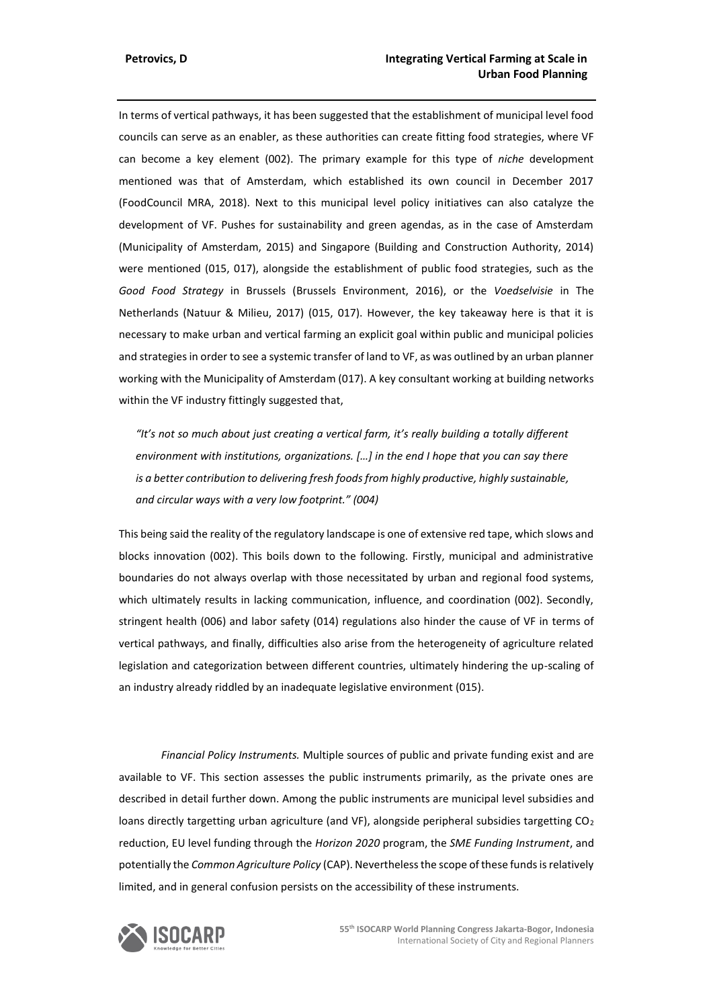In terms of vertical pathways, it has been suggested that the establishment of municipal level food councils can serve as an enabler, as these authorities can create fitting food strategies, where VF can become a key element (002). The primary example for this type of *niche* development mentioned was that of Amsterdam, which established its own council in December 2017 (FoodCouncil MRA, 2018). Next to this municipal level policy initiatives can also catalyze the development of VF. Pushes for sustainability and green agendas, as in the case of Amsterdam (Municipality of Amsterdam, 2015) and Singapore (Building and Construction Authority, 2014) were mentioned (015, 017), alongside the establishment of public food strategies, such as the *Good Food Strategy* in Brussels (Brussels Environment, 2016), or the *Voedselvisie* in The Netherlands (Natuur & Milieu, 2017) (015, 017). However, the key takeaway here is that it is necessary to make urban and vertical farming an explicit goal within public and municipal policies and strategies in order to see a systemic transfer of land to VF, as was outlined by an urban planner working with the Municipality of Amsterdam (017). A key consultant working at building networks within the VF industry fittingly suggested that,

*"It's not so much about just creating a vertical farm, it's really building a totally different environment with institutions, organizations. […] in the end I hope that you can say there is a better contribution to delivering fresh foods from highly productive, highly sustainable, and circular ways with a very low footprint." (004)*

This being said the reality of the regulatory landscape is one of extensive red tape, which slows and blocks innovation (002). This boils down to the following. Firstly, municipal and administrative boundaries do not always overlap with those necessitated by urban and regional food systems, which ultimately results in lacking communication, influence, and coordination (002). Secondly, stringent health (006) and labor safety (014) regulations also hinder the cause of VF in terms of vertical pathways, and finally, difficulties also arise from the heterogeneity of agriculture related legislation and categorization between different countries, ultimately hindering the up-scaling of an industry already riddled by an inadequate legislative environment (015).

*Financial Policy Instruments.* Multiple sources of public and private funding exist and are available to VF. This section assesses the public instruments primarily, as the private ones are described in detail further down. Among the public instruments are municipal level subsidies and loans directly targetting urban agriculture (and VF), alongside peripheral subsidies targetting  $CO<sub>2</sub>$ reduction, EU level funding through the *Horizon 2020* program, the *SME Funding Instrument*, and potentially the *Common Agriculture Policy* (CAP). Nevertheless the scope of these funds is relatively limited, and in general confusion persists on the accessibility of these instruments.

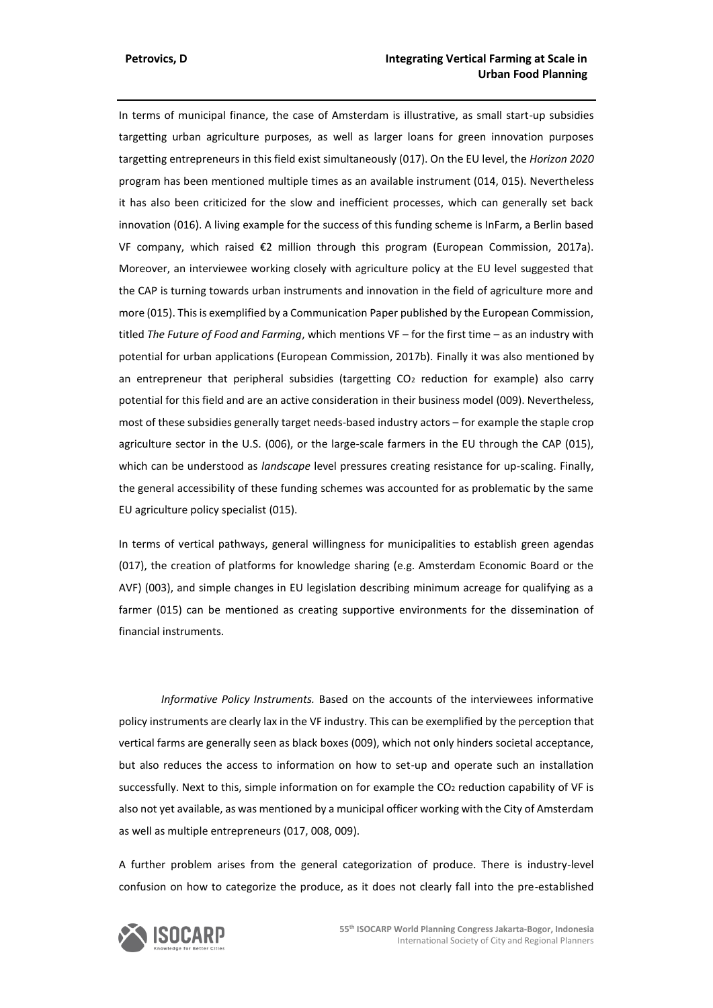In terms of municipal finance, the case of Amsterdam is illustrative, as small start-up subsidies targetting urban agriculture purposes, as well as larger loans for green innovation purposes targetting entrepreneurs in this field exist simultaneously (017). On the EU level, the *Horizon 2020* program has been mentioned multiple times as an available instrument (014, 015). Nevertheless it has also been criticized for the slow and inefficient processes, which can generally set back innovation (016). A living example for the success of this funding scheme is InFarm, a Berlin based VF company, which raised €2 million through this program (European Commission, 2017a). Moreover, an interviewee working closely with agriculture policy at the EU level suggested that the CAP is turning towards urban instruments and innovation in the field of agriculture more and more (015). This is exemplified by a Communication Paper published by the European Commission, titled *The Future of Food and Farming*, which mentions VF – for the first time – as an industry with potential for urban applications (European Commission, 2017b). Finally it was also mentioned by an entrepreneur that peripheral subsidies (targetting  $CO<sub>2</sub>$  reduction for example) also carry potential for this field and are an active consideration in their business model (009). Nevertheless, most of these subsidies generally target needs-based industry actors – for example the staple crop agriculture sector in the U.S. (006), or the large-scale farmers in the EU through the CAP (015), which can be understood as *landscape* level pressures creating resistance for up-scaling. Finally, the general accessibility of these funding schemes was accounted for as problematic by the same EU agriculture policy specialist (015).

In terms of vertical pathways, general willingness for municipalities to establish green agendas (017), the creation of platforms for knowledge sharing (e.g. Amsterdam Economic Board or the AVF) (003), and simple changes in EU legislation describing minimum acreage for qualifying as a farmer (015) can be mentioned as creating supportive environments for the dissemination of financial instruments.

*Informative Policy Instruments.* Based on the accounts of the interviewees informative policy instruments are clearly lax in the VF industry. This can be exemplified by the perception that vertical farms are generally seen as black boxes (009), which not only hinders societal acceptance, but also reduces the access to information on how to set-up and operate such an installation successfully. Next to this, simple information on for example the CO<sub>2</sub> reduction capability of VF is also not yet available, as was mentioned by a municipal officer working with the City of Amsterdam as well as multiple entrepreneurs (017, 008, 009).

A further problem arises from the general categorization of produce. There is industry-level confusion on how to categorize the produce, as it does not clearly fall into the pre-established

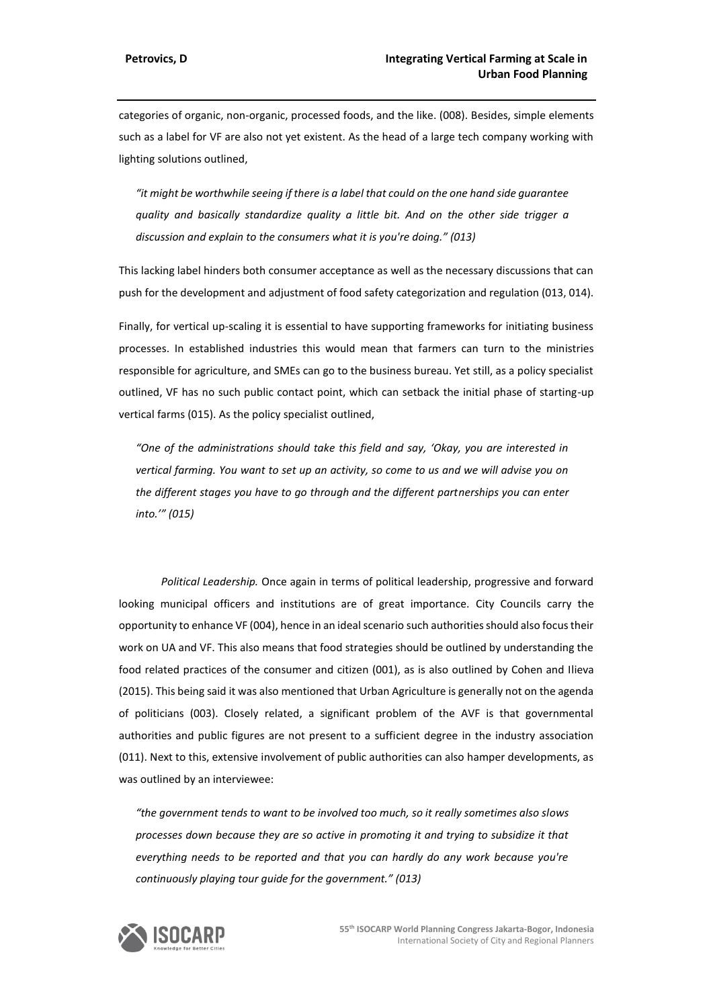categories of organic, non-organic, processed foods, and the like. (008). Besides, simple elements such as a label for VF are also not yet existent. As the head of a large tech company working with lighting solutions outlined,

*"it might be worthwhile seeing if there is a label that could on the one hand side guarantee quality and basically standardize quality a little bit. And on the other side trigger a discussion and explain to the consumers what it is you're doing." (013)*

This lacking label hinders both consumer acceptance as well as the necessary discussions that can push for the development and adjustment of food safety categorization and regulation (013, 014).

Finally, for vertical up-scaling it is essential to have supporting frameworks for initiating business processes. In established industries this would mean that farmers can turn to the ministries responsible for agriculture, and SMEs can go to the business bureau. Yet still, as a policy specialist outlined, VF has no such public contact point, which can setback the initial phase of starting-up vertical farms (015). As the policy specialist outlined,

*"One of the administrations should take this field and say, 'Okay, you are interested in vertical farming. You want to set up an activity, so come to us and we will advise you on the different stages you have to go through and the different partnerships you can enter into.'" (015)*

*Political Leadership.* Once again in terms of political leadership, progressive and forward looking municipal officers and institutions are of great importance. City Councils carry the opportunity to enhance VF (004), hence in an ideal scenario such authorities should also focus their work on UA and VF. This also means that food strategies should be outlined by understanding the food related practices of the consumer and citizen (001), as is also outlined by Cohen and Ilieva (2015). This being said it was also mentioned that Urban Agriculture is generally not on the agenda of politicians (003). Closely related, a significant problem of the AVF is that governmental authorities and public figures are not present to a sufficient degree in the industry association (011). Next to this, extensive involvement of public authorities can also hamper developments, as was outlined by an interviewee:

*"the government tends to want to be involved too much, so it really sometimes also slows processes down because they are so active in promoting it and trying to subsidize it that everything needs to be reported and that you can hardly do any work because you're continuously playing tour guide for the government." (013)*

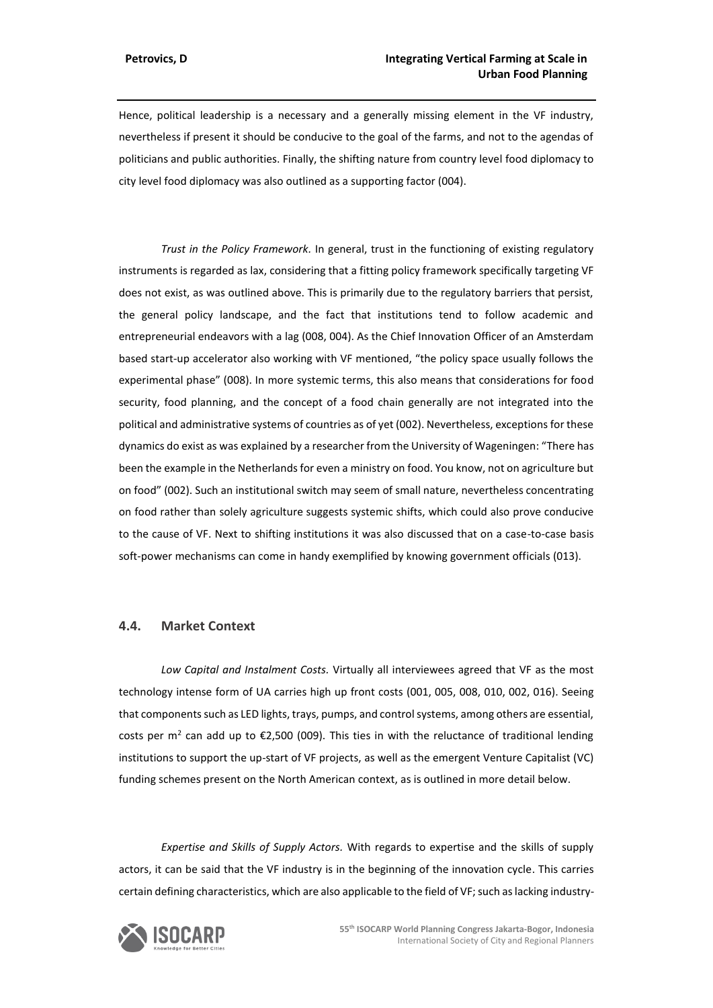Hence, political leadership is a necessary and a generally missing element in the VF industry, nevertheless if present it should be conducive to the goal of the farms, and not to the agendas of politicians and public authorities. Finally, the shifting nature from country level food diplomacy to city level food diplomacy was also outlined as a supporting factor (004).

*Trust in the Policy Framework.* In general, trust in the functioning of existing regulatory instruments is regarded as lax, considering that a fitting policy framework specifically targeting VF does not exist, as was outlined above. This is primarily due to the regulatory barriers that persist, the general policy landscape, and the fact that institutions tend to follow academic and entrepreneurial endeavors with a lag (008, 004). As the Chief Innovation Officer of an Amsterdam based start-up accelerator also working with VF mentioned, "the policy space usually follows the experimental phase" (008). In more systemic terms, this also means that considerations for food security, food planning, and the concept of a food chain generally are not integrated into the political and administrative systems of countries as of yet (002). Nevertheless, exceptions for these dynamics do exist as was explained by a researcher from the University of Wageningen: "There has been the example in the Netherlands for even a ministry on food. You know, not on agriculture but on food" (002). Such an institutional switch may seem of small nature, nevertheless concentrating on food rather than solely agriculture suggests systemic shifts, which could also prove conducive to the cause of VF. Next to shifting institutions it was also discussed that on a case-to-case basis soft-power mechanisms can come in handy exemplified by knowing government officials (013).

## **4.4. Market Context**

*Low Capital and Instalment Costs.* Virtually all interviewees agreed that VF as the most technology intense form of UA carries high up front costs (001, 005, 008, 010, 002, 016). Seeing that components such as LED lights, trays, pumps, and control systems, among others are essential, costs per  $m^2$  can add up to  $\epsilon$ 2,500 (009). This ties in with the reluctance of traditional lending institutions to support the up-start of VF projects, as well as the emergent Venture Capitalist (VC) funding schemes present on the North American context, as is outlined in more detail below.

*Expertise and Skills of Supply Actors.* With regards to expertise and the skills of supply actors, it can be said that the VF industry is in the beginning of the innovation cycle. This carries certain defining characteristics, which are also applicable to the field of VF; such as lacking industry-

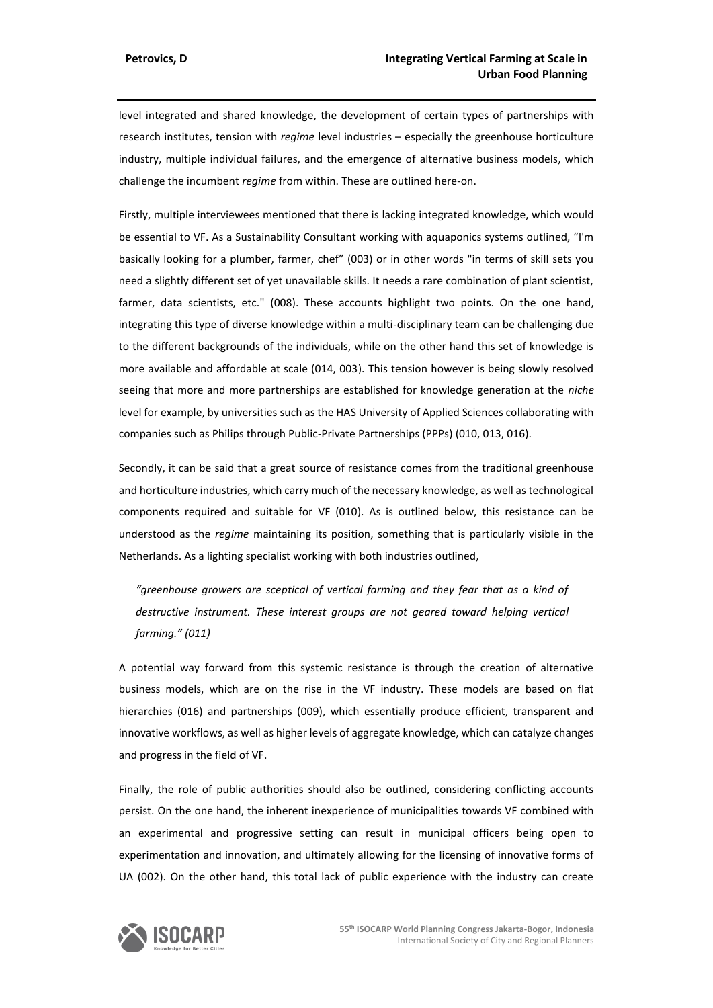level integrated and shared knowledge, the development of certain types of partnerships with research institutes, tension with *regime* level industries – especially the greenhouse horticulture industry, multiple individual failures, and the emergence of alternative business models, which challenge the incumbent *regime* from within. These are outlined here-on.

Firstly, multiple interviewees mentioned that there is lacking integrated knowledge, which would be essential to VF. As a Sustainability Consultant working with aquaponics systems outlined, "I'm basically looking for a plumber, farmer, chef" (003) or in other words "in terms of skill sets you need a slightly different set of yet unavailable skills. It needs a rare combination of plant scientist, farmer, data scientists, etc." (008). These accounts highlight two points. On the one hand, integrating this type of diverse knowledge within a multi-disciplinary team can be challenging due to the different backgrounds of the individuals, while on the other hand this set of knowledge is more available and affordable at scale (014, 003). This tension however is being slowly resolved seeing that more and more partnerships are established for knowledge generation at the *niche* level for example, by universities such as the HAS University of Applied Sciences collaborating with companies such as Philips through Public-Private Partnerships (PPPs) (010, 013, 016).

Secondly, it can be said that a great source of resistance comes from the traditional greenhouse and horticulture industries, which carry much of the necessary knowledge, as well as technological components required and suitable for VF (010). As is outlined below, this resistance can be understood as the *regime* maintaining its position, something that is particularly visible in the Netherlands. As a lighting specialist working with both industries outlined,

*"greenhouse growers are sceptical of vertical farming and they fear that as a kind of destructive instrument. These interest groups are not geared toward helping vertical farming." (011)*

A potential way forward from this systemic resistance is through the creation of alternative business models, which are on the rise in the VF industry. These models are based on flat hierarchies (016) and partnerships (009), which essentially produce efficient, transparent and innovative workflows, as well as higher levels of aggregate knowledge, which can catalyze changes and progress in the field of VF.

Finally, the role of public authorities should also be outlined, considering conflicting accounts persist. On the one hand, the inherent inexperience of municipalities towards VF combined with an experimental and progressive setting can result in municipal officers being open to experimentation and innovation, and ultimately allowing for the licensing of innovative forms of UA (002). On the other hand, this total lack of public experience with the industry can create

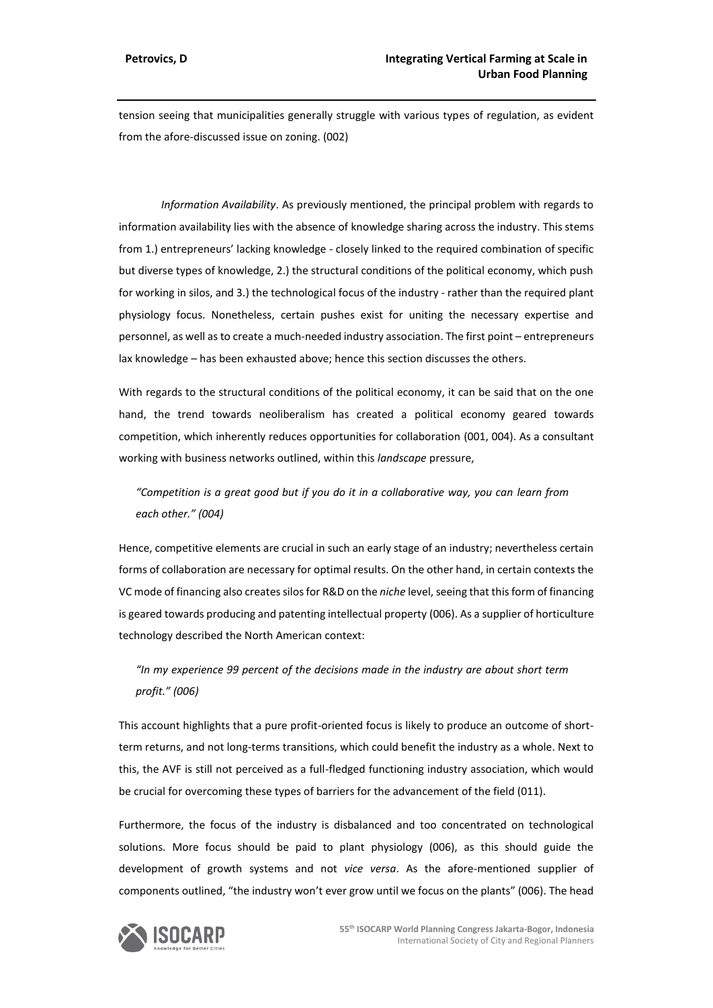tension seeing that municipalities generally struggle with various types of regulation, as evident from the afore-discussed issue on zoning. (002)

*Information Availability*. As previously mentioned, the principal problem with regards to information availability lies with the absence of knowledge sharing across the industry. This stems from 1.) entrepreneurs' lacking knowledge - closely linked to the required combination of specific but diverse types of knowledge, 2.) the structural conditions of the political economy, which push for working in silos, and 3.) the technological focus of the industry - rather than the required plant physiology focus. Nonetheless, certain pushes exist for uniting the necessary expertise and personnel, as well asto create a much-needed industry association. The first point – entrepreneurs lax knowledge – has been exhausted above; hence this section discusses the others.

With regards to the structural conditions of the political economy, it can be said that on the one hand, the trend towards neoliberalism has created a political economy geared towards competition, which inherently reduces opportunities for collaboration (001, 004). As a consultant working with business networks outlined, within this *landscape* pressure,

"Competition is a great good but if you do it in a collaborative way, you can learn from *each other." (004)*

Hence, competitive elements are crucial in such an early stage of an industry; nevertheless certain forms of collaboration are necessary for optimal results. On the other hand, in certain contexts the VC mode of financing also creates silos for R&D on the *niche* level, seeing that this form of financing is geared towards producing and patenting intellectual property (006). As a supplier of horticulture technology described the North American context:

*"In my experience 99 percent of the decisions made in the industry are about short term profit." (006)*

This account highlights that a pure profit-oriented focus is likely to produce an outcome of shortterm returns, and not long-terms transitions, which could benefit the industry as a whole. Next to this, the AVF is still not perceived as a full-fledged functioning industry association, which would be crucial for overcoming these types of barriers for the advancement of the field (011).

Furthermore, the focus of the industry is disbalanced and too concentrated on technological solutions. More focus should be paid to plant physiology (006), as this should guide the development of growth systems and not *vice versa*. As the afore-mentioned supplier of components outlined, "the industry won't ever grow until we focus on the plants" (006). The head

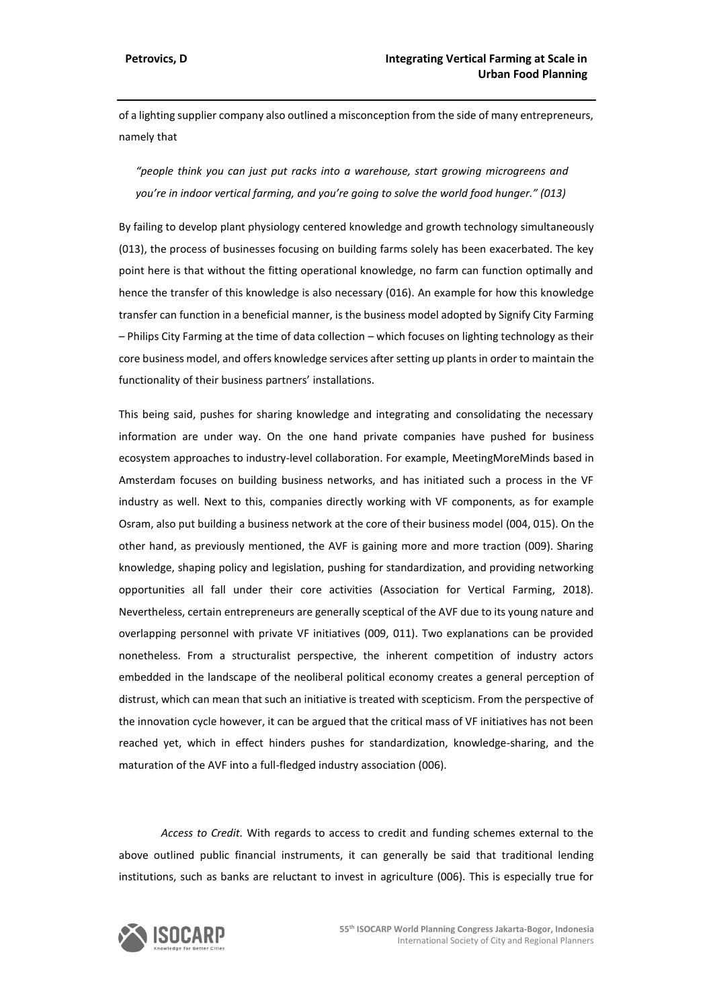of a lighting supplier company also outlined a misconception from the side of many entrepreneurs, namely that

*"people think you can just put racks into a warehouse, start growing microgreens and you're in indoor vertical farming, and you're going to solve the world food hunger." (013)*

By failing to develop plant physiology centered knowledge and growth technology simultaneously (013), the process of businesses focusing on building farms solely has been exacerbated. The key point here is that without the fitting operational knowledge, no farm can function optimally and hence the transfer of this knowledge is also necessary (016). An example for how this knowledge transfer can function in a beneficial manner, is the business model adopted by Signify City Farming – Philips City Farming at the time of data collection – which focuses on lighting technology as their core business model, and offers knowledge services after setting up plants in order to maintain the functionality of their business partners' installations.

This being said, pushes for sharing knowledge and integrating and consolidating the necessary information are under way. On the one hand private companies have pushed for business ecosystem approaches to industry-level collaboration. For example, MeetingMoreMinds based in Amsterdam focuses on building business networks, and has initiated such a process in the VF industry as well. Next to this, companies directly working with VF components, as for example Osram, also put building a business network at the core of their business model (004, 015). On the other hand, as previously mentioned, the AVF is gaining more and more traction (009). Sharing knowledge, shaping policy and legislation, pushing for standardization, and providing networking opportunities all fall under their core activities (Association for Vertical Farming, 2018). Nevertheless, certain entrepreneurs are generally sceptical of the AVF due to its young nature and overlapping personnel with private VF initiatives (009, 011). Two explanations can be provided nonetheless. From a structuralist perspective, the inherent competition of industry actors embedded in the landscape of the neoliberal political economy creates a general perception of distrust, which can mean that such an initiative is treated with scepticism. From the perspective of the innovation cycle however, it can be argued that the critical mass of VF initiatives has not been reached yet, which in effect hinders pushes for standardization, knowledge-sharing, and the maturation of the AVF into a full-fledged industry association (006).

*Access to Credit.* With regards to access to credit and funding schemes external to the above outlined public financial instruments, it can generally be said that traditional lending institutions, such as banks are reluctant to invest in agriculture (006). This is especially true for

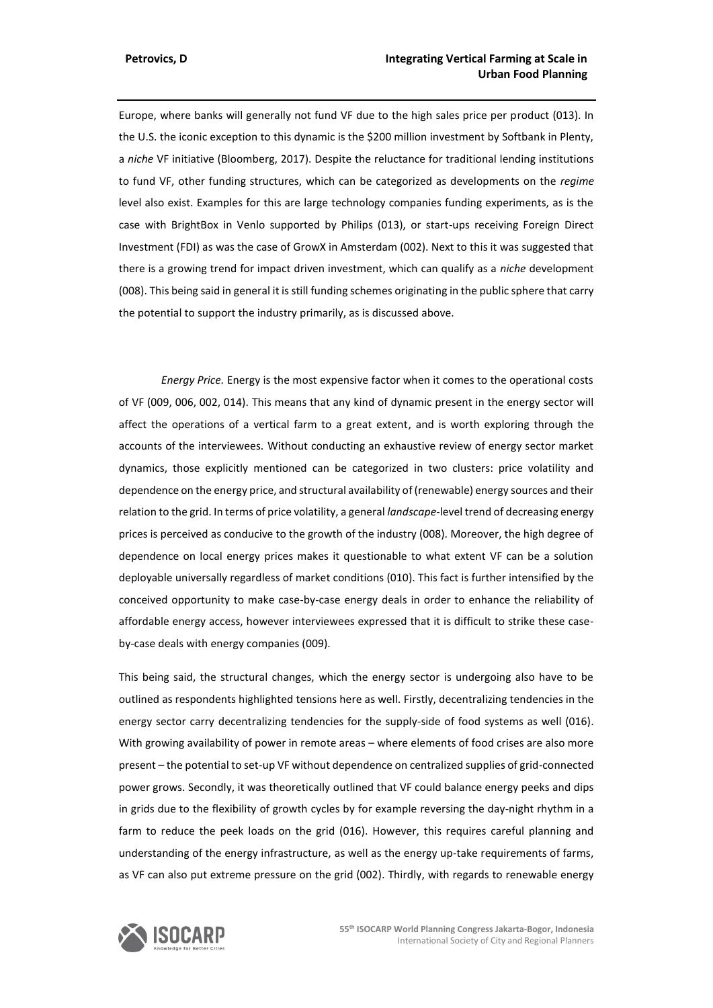Europe, where banks will generally not fund VF due to the high sales price per product (013). In the U.S. the iconic exception to this dynamic is the \$200 million investment by Softbank in Plenty, a *niche* VF initiative (Bloomberg, 2017). Despite the reluctance for traditional lending institutions to fund VF, other funding structures, which can be categorized as developments on the *regime* level also exist. Examples for this are large technology companies funding experiments, as is the case with BrightBox in Venlo supported by Philips (013), or start-ups receiving Foreign Direct Investment (FDI) as was the case of GrowX in Amsterdam (002). Next to this it was suggested that there is a growing trend for impact driven investment, which can qualify as a *niche* development (008). This being said in general it is still funding schemes originating in the public sphere that carry the potential to support the industry primarily, as is discussed above.

*Energy Price.* Energy is the most expensive factor when it comes to the operational costs of VF (009, 006, 002, 014). This means that any kind of dynamic present in the energy sector will affect the operations of a vertical farm to a great extent, and is worth exploring through the accounts of the interviewees. Without conducting an exhaustive review of energy sector market dynamics, those explicitly mentioned can be categorized in two clusters: price volatility and dependence on the energy price, and structural availability of (renewable) energy sources and their relation to the grid. In terms of price volatility, a general *landscape*-level trend of decreasing energy prices is perceived as conducive to the growth of the industry (008). Moreover, the high degree of dependence on local energy prices makes it questionable to what extent VF can be a solution deployable universally regardless of market conditions (010). This fact is further intensified by the conceived opportunity to make case-by-case energy deals in order to enhance the reliability of affordable energy access, however interviewees expressed that it is difficult to strike these caseby-case deals with energy companies (009).

This being said, the structural changes, which the energy sector is undergoing also have to be outlined as respondents highlighted tensions here as well. Firstly, decentralizing tendencies in the energy sector carry decentralizing tendencies for the supply-side of food systems as well (016). With growing availability of power in remote areas – where elements of food crises are also more present – the potential to set-up VF without dependence on centralized supplies of grid-connected power grows. Secondly, it was theoretically outlined that VF could balance energy peeks and dips in grids due to the flexibility of growth cycles by for example reversing the day-night rhythm in a farm to reduce the peek loads on the grid (016). However, this requires careful planning and understanding of the energy infrastructure, as well as the energy up-take requirements of farms, as VF can also put extreme pressure on the grid (002). Thirdly, with regards to renewable energy

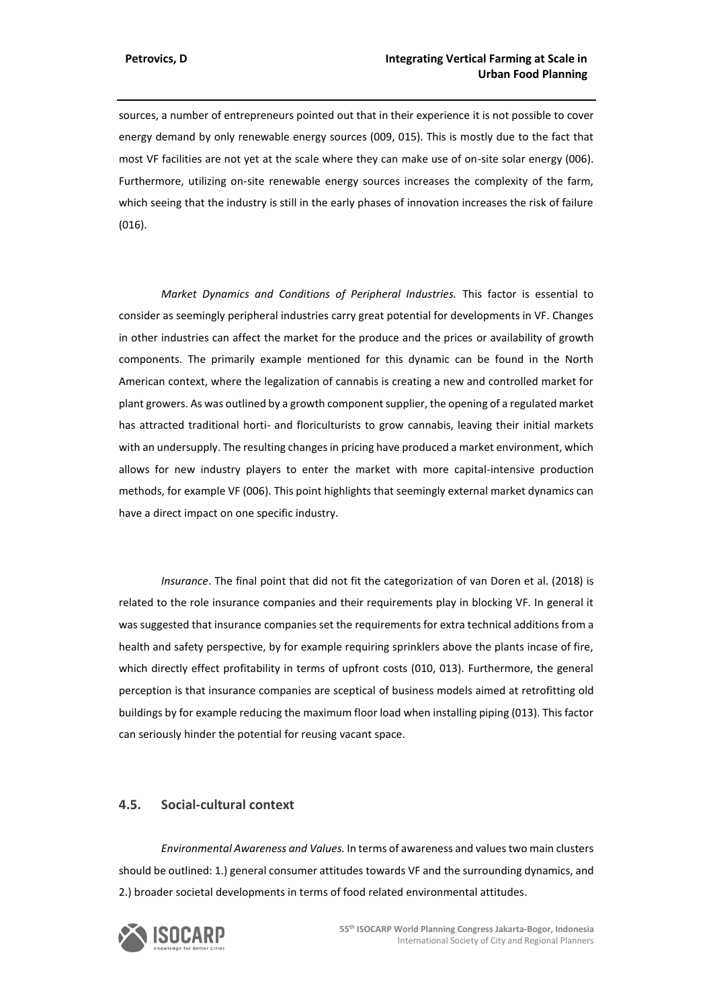sources, a number of entrepreneurs pointed out that in their experience it is not possible to cover energy demand by only renewable energy sources (009, 015). This is mostly due to the fact that most VF facilities are not yet at the scale where they can make use of on-site solar energy (006). Furthermore, utilizing on-site renewable energy sources increases the complexity of the farm, which seeing that the industry is still in the early phases of innovation increases the risk of failure (016).

*Market Dynamics and Conditions of Peripheral Industries.* This factor is essential to consider as seemingly peripheral industries carry great potential for developments in VF. Changes in other industries can affect the market for the produce and the prices or availability of growth components. The primarily example mentioned for this dynamic can be found in the North American context, where the legalization of cannabis is creating a new and controlled market for plant growers. As was outlined by a growth component supplier, the opening of a regulated market has attracted traditional horti- and floriculturists to grow cannabis, leaving their initial markets with an undersupply. The resulting changes in pricing have produced a market environment, which allows for new industry players to enter the market with more capital-intensive production methods, for example VF (006). This point highlights that seemingly external market dynamics can have a direct impact on one specific industry.

*Insurance*. The final point that did not fit the categorization of van Doren et al. (2018) is related to the role insurance companies and their requirements play in blocking VF. In general it was suggested that insurance companies set the requirements for extra technical additions from a health and safety perspective, by for example requiring sprinklers above the plants incase of fire, which directly effect profitability in terms of upfront costs (010, 013). Furthermore, the general perception is that insurance companies are sceptical of business models aimed at retrofitting old buildings by for example reducing the maximum floor load when installing piping (013). This factor can seriously hinder the potential for reusing vacant space.

## **4.5. Social-cultural context**

*Environmental Awareness and Values.* In terms of awareness and values two main clusters should be outlined: 1.) general consumer attitudes towards VF and the surrounding dynamics, and 2.) broader societal developments in terms of food related environmental attitudes.

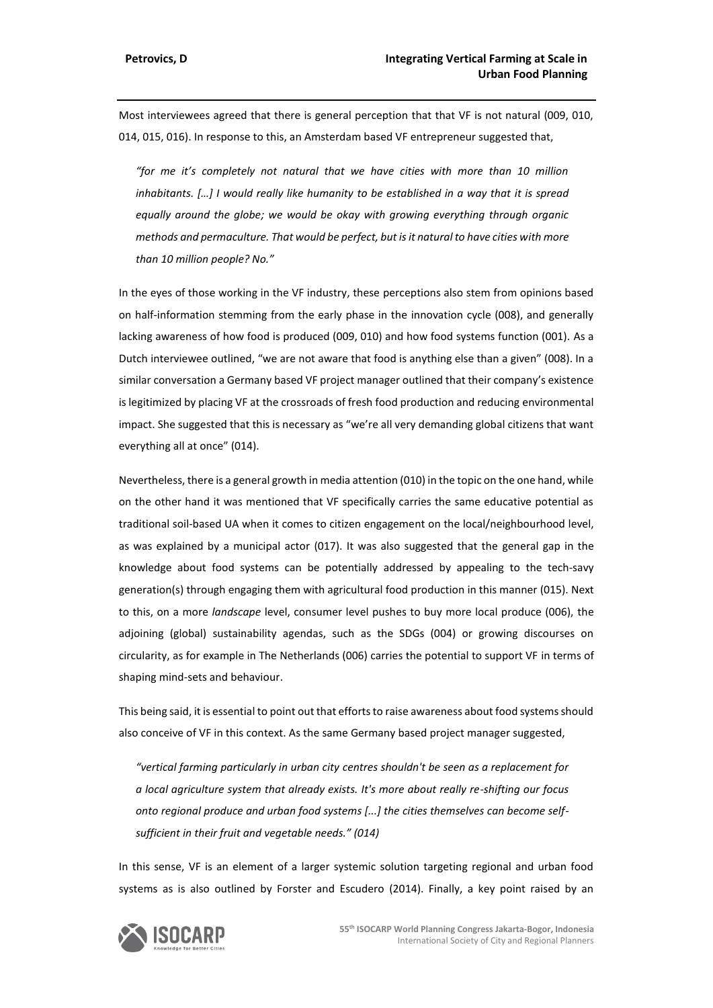Most interviewees agreed that there is general perception that that VF is not natural (009, 010, 014, 015, 016). In response to this, an Amsterdam based VF entrepreneur suggested that,

*"for me it's completely not natural that we have cities with more than 10 million inhabitants. […] I would really like humanity to be established in a way that it is spread equally around the globe; we would be okay with growing everything through organic methods and permaculture. That would be perfect, but is it natural to have cities with more than 10 million people? No."*

In the eyes of those working in the VF industry, these perceptions also stem from opinions based on half-information stemming from the early phase in the innovation cycle (008), and generally lacking awareness of how food is produced (009, 010) and how food systems function (001). As a Dutch interviewee outlined, "we are not aware that food is anything else than a given" (008). In a similar conversation a Germany based VF project manager outlined that their company's existence is legitimized by placing VF at the crossroads of fresh food production and reducing environmental impact. She suggested that this is necessary as "we're all very demanding global citizens that want everything all at once" (014).

Nevertheless, there is a general growth in media attention (010) in the topic on the one hand, while on the other hand it was mentioned that VF specifically carries the same educative potential as traditional soil-based UA when it comes to citizen engagement on the local/neighbourhood level, as was explained by a municipal actor (017). It was also suggested that the general gap in the knowledge about food systems can be potentially addressed by appealing to the tech-savy generation(s) through engaging them with agricultural food production in this manner (015). Next to this, on a more *landscape* level, consumer level pushes to buy more local produce (006), the adjoining (global) sustainability agendas, such as the SDGs (004) or growing discourses on circularity, as for example in The Netherlands (006) carries the potential to support VF in terms of shaping mind-sets and behaviour.

This being said, it is essential to point out that efforts to raise awareness about food systems should also conceive of VF in this context. As the same Germany based project manager suggested,

*"vertical farming particularly in urban city centres shouldn't be seen as a replacement for a local agriculture system that already exists. It's more about really re-shifting our focus onto regional produce and urban food systems [...] the cities themselves can become selfsufficient in their fruit and vegetable needs." (014)*

In this sense, VF is an element of a larger systemic solution targeting regional and urban food systems as is also outlined by Forster and Escudero (2014). Finally, a key point raised by an

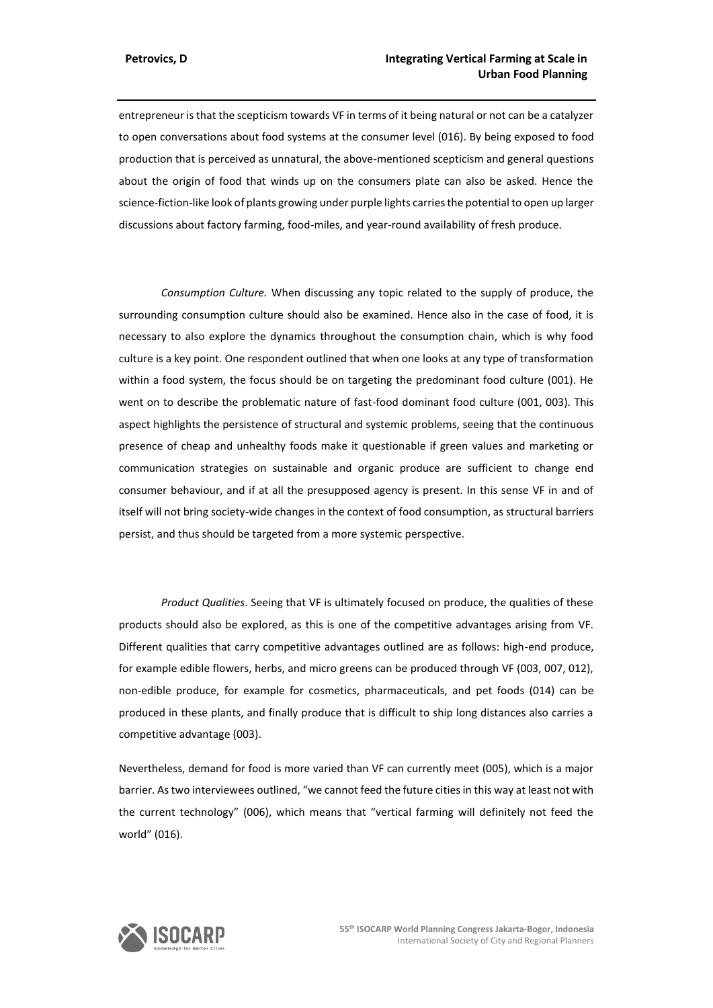entrepreneur is that the scepticism towards VF in terms of it being natural or not can be a catalyzer to open conversations about food systems at the consumer level (016). By being exposed to food production that is perceived as unnatural, the above-mentioned scepticism and general questions about the origin of food that winds up on the consumers plate can also be asked. Hence the science-fiction-like look of plants growing under purple lights carries the potential to open up larger discussions about factory farming, food-miles, and year-round availability of fresh produce.

*Consumption Culture.* When discussing any topic related to the supply of produce, the surrounding consumption culture should also be examined. Hence also in the case of food, it is necessary to also explore the dynamics throughout the consumption chain, which is why food culture is a key point. One respondent outlined that when one looks at any type of transformation within a food system, the focus should be on targeting the predominant food culture (001). He went on to describe the problematic nature of fast-food dominant food culture (001, 003). This aspect highlights the persistence of structural and systemic problems, seeing that the continuous presence of cheap and unhealthy foods make it questionable if green values and marketing or communication strategies on sustainable and organic produce are sufficient to change end consumer behaviour, and if at all the presupposed agency is present. In this sense VF in and of itself will not bring society-wide changes in the context of food consumption, as structural barriers persist, and thus should be targeted from a more systemic perspective.

*Product Qualities*. Seeing that VF is ultimately focused on produce, the qualities of these products should also be explored, as this is one of the competitive advantages arising from VF. Different qualities that carry competitive advantages outlined are as follows: high-end produce, for example edible flowers, herbs, and micro greens can be produced through VF (003, 007, 012), non-edible produce, for example for cosmetics, pharmaceuticals, and pet foods (014) can be produced in these plants, and finally produce that is difficult to ship long distances also carries a competitive advantage (003).

Nevertheless, demand for food is more varied than VF can currently meet (005), which is a major barrier. As two interviewees outlined, "we cannot feed the future cities in this way at least not with the current technology" (006), which means that "vertical farming will definitely not feed the world" (016).

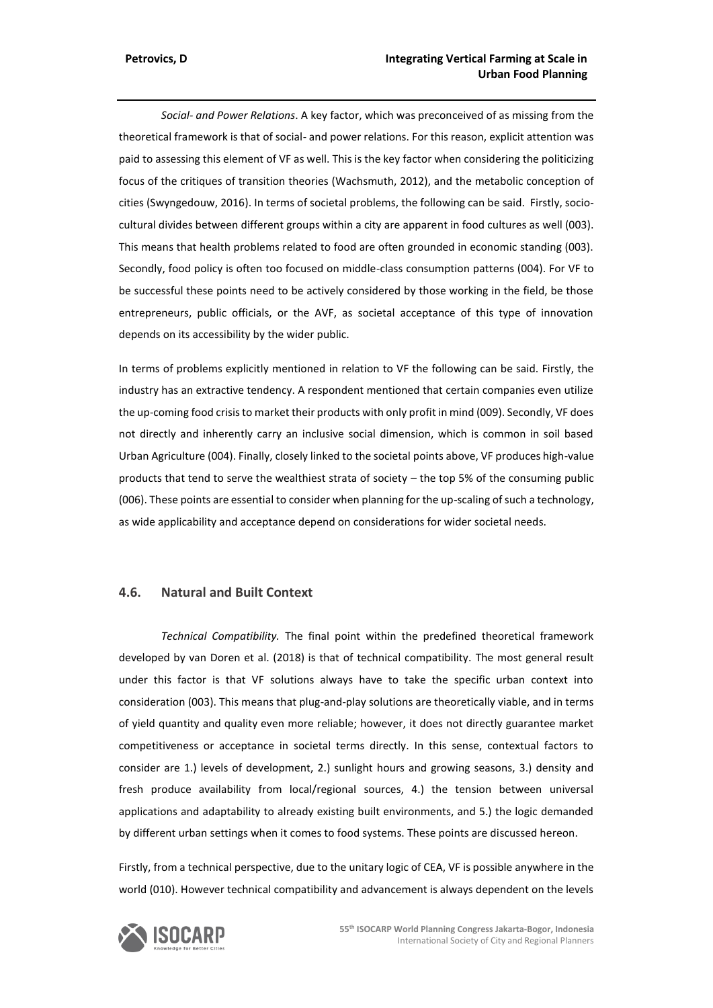*Social- and Power Relations*. A key factor, which was preconceived of as missing from the theoretical framework is that of social- and power relations. For this reason, explicit attention was paid to assessing this element of VF as well. This is the key factor when considering the politicizing focus of the critiques of transition theories (Wachsmuth, 2012), and the metabolic conception of cities (Swyngedouw, 2016). In terms of societal problems, the following can be said. Firstly, sociocultural divides between different groups within a city are apparent in food cultures as well (003). This means that health problems related to food are often grounded in economic standing (003). Secondly, food policy is often too focused on middle-class consumption patterns (004). For VF to be successful these points need to be actively considered by those working in the field, be those entrepreneurs, public officials, or the AVF, as societal acceptance of this type of innovation depends on its accessibility by the wider public.

In terms of problems explicitly mentioned in relation to VF the following can be said. Firstly, the industry has an extractive tendency. A respondent mentioned that certain companies even utilize the up-coming food crisis to market their products with only profit in mind (009). Secondly, VF does not directly and inherently carry an inclusive social dimension, which is common in soil based Urban Agriculture (004). Finally, closely linked to the societal points above, VF produces high-value products that tend to serve the wealthiest strata of society – the top 5% of the consuming public (006). These points are essential to consider when planning for the up-scaling of such a technology, as wide applicability and acceptance depend on considerations for wider societal needs.

## **4.6. Natural and Built Context**

*Technical Compatibility.* The final point within the predefined theoretical framework developed by van Doren et al. (2018) is that of technical compatibility. The most general result under this factor is that VF solutions always have to take the specific urban context into consideration (003). This means that plug-and-play solutions are theoretically viable, and in terms of yield quantity and quality even more reliable; however, it does not directly guarantee market competitiveness or acceptance in societal terms directly. In this sense, contextual factors to consider are 1.) levels of development, 2.) sunlight hours and growing seasons, 3.) density and fresh produce availability from local/regional sources, 4.) the tension between universal applications and adaptability to already existing built environments, and 5.) the logic demanded by different urban settings when it comes to food systems. These points are discussed hereon.

Firstly, from a technical perspective, due to the unitary logic of CEA, VF is possible anywhere in the world (010). However technical compatibility and advancement is always dependent on the levels

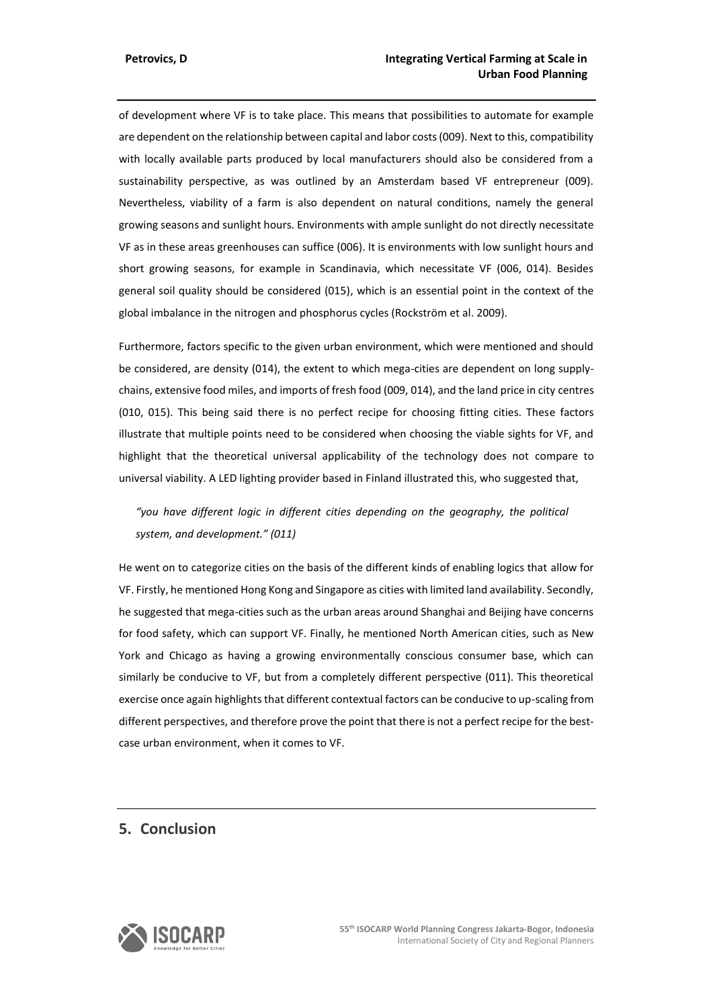of development where VF is to take place. This means that possibilities to automate for example are dependent on the relationship between capital and labor costs (009). Next to this, compatibility with locally available parts produced by local manufacturers should also be considered from a sustainability perspective, as was outlined by an Amsterdam based VF entrepreneur (009). Nevertheless, viability of a farm is also dependent on natural conditions, namely the general growing seasons and sunlight hours. Environments with ample sunlight do not directly necessitate VF as in these areas greenhouses can suffice (006). It is environments with low sunlight hours and short growing seasons, for example in Scandinavia, which necessitate VF (006, 014). Besides general soil quality should be considered (015), which is an essential point in the context of the global imbalance in the nitrogen and phosphorus cycles (Rockström et al. 2009).

Furthermore, factors specific to the given urban environment, which were mentioned and should be considered, are density (014), the extent to which mega-cities are dependent on long supplychains, extensive food miles, and imports of fresh food (009, 014), and the land price in city centres (010, 015). This being said there is no perfect recipe for choosing fitting cities. These factors illustrate that multiple points need to be considered when choosing the viable sights for VF, and highlight that the theoretical universal applicability of the technology does not compare to universal viability. A LED lighting provider based in Finland illustrated this, who suggested that,

*"you have different logic in different cities depending on the geography, the political system, and development." (011)*

He went on to categorize cities on the basis of the different kinds of enabling logics that allow for VF. Firstly, he mentioned Hong Kong and Singapore as cities with limited land availability. Secondly, he suggested that mega-cities such as the urban areas around Shanghai and Beijing have concerns for food safety, which can support VF. Finally, he mentioned North American cities, such as New York and Chicago as having a growing environmentally conscious consumer base, which can similarly be conducive to VF, but from a completely different perspective (011). This theoretical exercise once again highlights that different contextual factors can be conducive to up-scaling from different perspectives, and therefore prove the point that there is not a perfect recipe for the bestcase urban environment, when it comes to VF.

# **5. Conclusion**

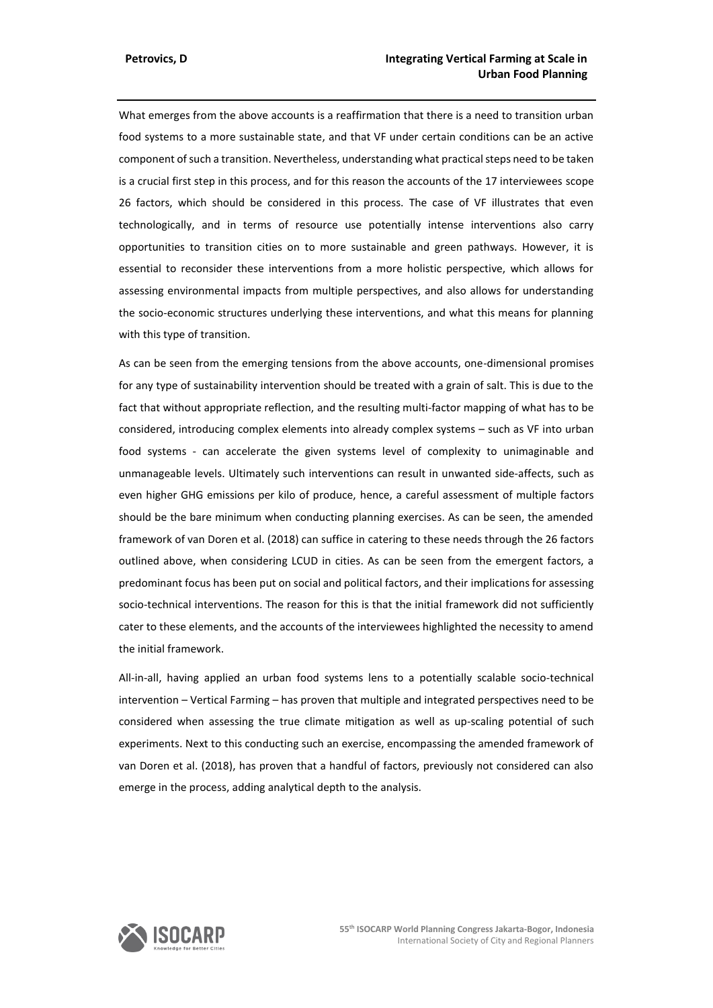What emerges from the above accounts is a reaffirmation that there is a need to transition urban food systems to a more sustainable state, and that VF under certain conditions can be an active component of such a transition. Nevertheless, understanding what practical steps need to be taken is a crucial first step in this process, and for this reason the accounts of the 17 interviewees scope 26 factors, which should be considered in this process. The case of VF illustrates that even technologically, and in terms of resource use potentially intense interventions also carry opportunities to transition cities on to more sustainable and green pathways. However, it is essential to reconsider these interventions from a more holistic perspective, which allows for assessing environmental impacts from multiple perspectives, and also allows for understanding the socio-economic structures underlying these interventions, and what this means for planning with this type of transition.

As can be seen from the emerging tensions from the above accounts, one-dimensional promises for any type of sustainability intervention should be treated with a grain of salt. This is due to the fact that without appropriate reflection, and the resulting multi-factor mapping of what has to be considered, introducing complex elements into already complex systems – such as VF into urban food systems - can accelerate the given systems level of complexity to unimaginable and unmanageable levels. Ultimately such interventions can result in unwanted side-affects, such as even higher GHG emissions per kilo of produce, hence, a careful assessment of multiple factors should be the bare minimum when conducting planning exercises. As can be seen, the amended framework of van Doren et al. (2018) can suffice in catering to these needs through the 26 factors outlined above, when considering LCUD in cities. As can be seen from the emergent factors, a predominant focus has been put on social and political factors, and their implications for assessing socio-technical interventions. The reason for this is that the initial framework did not sufficiently cater to these elements, and the accounts of the interviewees highlighted the necessity to amend the initial framework.

All-in-all, having applied an urban food systems lens to a potentially scalable socio-technical intervention – Vertical Farming – has proven that multiple and integrated perspectives need to be considered when assessing the true climate mitigation as well as up-scaling potential of such experiments. Next to this conducting such an exercise, encompassing the amended framework of van Doren et al. (2018), has proven that a handful of factors, previously not considered can also emerge in the process, adding analytical depth to the analysis.

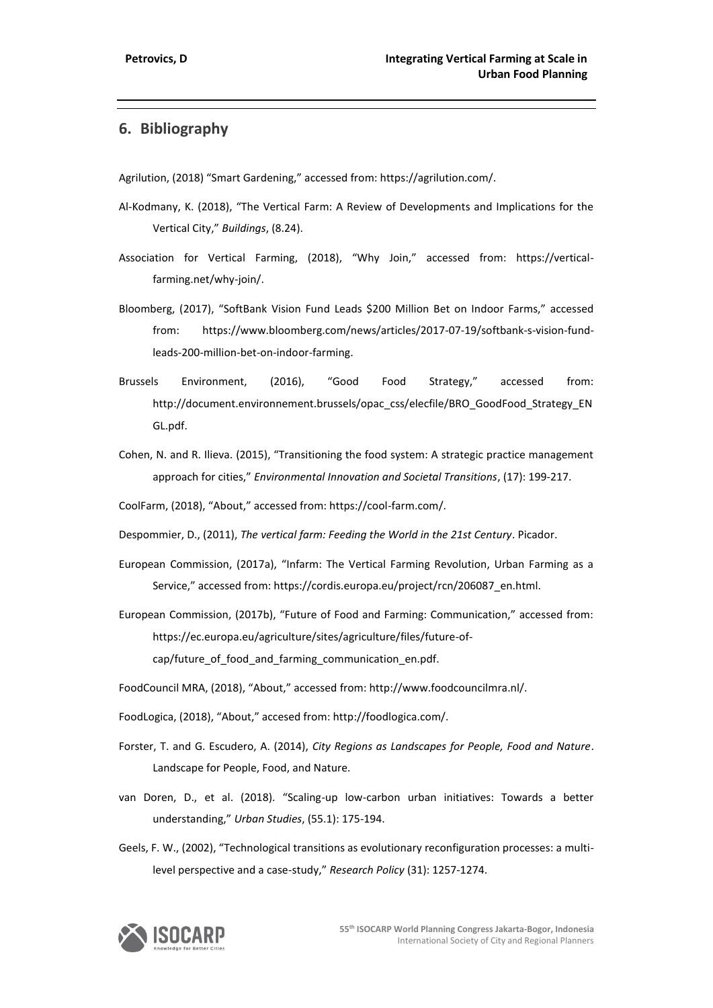# **6. Bibliography**

Agrilution, (2018) "Smart Gardening," accessed from: https://agrilution.com/.

- Al-Kodmany, K. (2018), "The Vertical Farm: A Review of Developments and Implications for the Vertical City," *Buildings*, (8.24).
- Association for Vertical Farming, (2018), "Why Join," accessed from: https://verticalfarming.net/why-join/.
- Bloomberg, (2017), "SoftBank Vision Fund Leads \$200 Million Bet on Indoor Farms," accessed from: https://www.bloomberg.com/news/articles/2017-07-19/softbank-s-vision-fundleads-200-million-bet-on-indoor-farming.
- Brussels Environment, (2016), "Good Food Strategy," accessed from: http://document.environnement.brussels/opac\_css/elecfile/BRO\_GoodFood\_Strategy\_EN GL.pdf.
- Cohen, N. and R. Ilieva. (2015), "Transitioning the food system: A strategic practice management approach for cities," *Environmental Innovation and Societal Transitions*, (17): 199-217.
- CoolFarm, (2018), "About," accessed from: https://cool-farm.com/.
- Despommier, D., (2011), *The vertical farm: Feeding the World in the 21st Century*. Picador.
- European Commission, (2017a), "Infarm: The Vertical Farming Revolution, Urban Farming as a Service," accessed from: https://cordis.europa.eu/project/rcn/206087\_en.html.
- European Commission, (2017b), "Future of Food and Farming: Communication," accessed from: https://ec.europa.eu/agriculture/sites/agriculture/files/future-ofcap/future\_of\_food\_and\_farming\_communication\_en.pdf.
- FoodCouncil MRA, (2018), "About," accessed from: http://www.foodcouncilmra.nl/.
- FoodLogica, (2018), "About," accesed from: http://foodlogica.com/.
- Forster, T. and G. Escudero, A. (2014), *City Regions as Landscapes for People, Food and Nature*. Landscape for People, Food, and Nature.
- van Doren, D., et al. (2018). "Scaling-up low-carbon urban initiatives: Towards a better understanding," *Urban Studies*, (55.1): 175-194.
- Geels, F. W., (2002), "Technological transitions as evolutionary reconfiguration processes: a multilevel perspective and a case-study," *Research Policy* (31): 1257-1274.